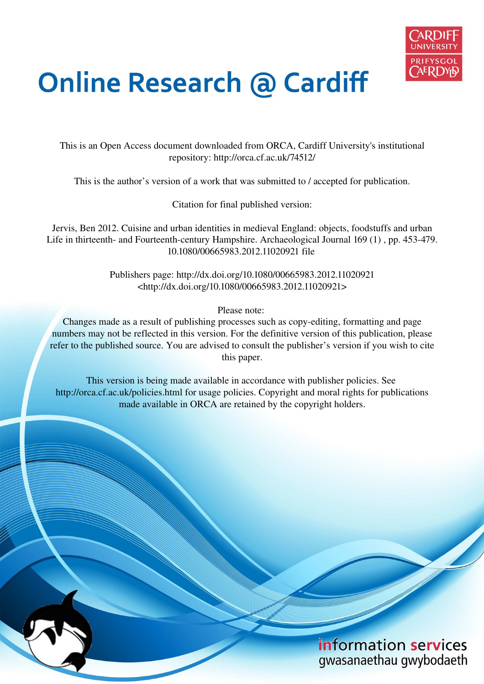

## **Online Research @ Cardiff**

This is an Open Access document downloaded from ORCA, Cardiff University's institutional repository: http://orca.cf.ac.uk/74512/

This is the author's version of a work that was submitted to / accepted for publication.

Citation for final published version:

Jervis, Ben 2012. Cuisine and urban identities in medieval England: objects, foodstuffs and urban Life in thirteenth- and Fourteenth-century Hampshire. Archaeological Journal 169 (1) , pp. 453-479. 10.1080/00665983.2012.11020921 file

> Publishers page: http://dx.doi.org/10.1080/00665983.2012.11020921 <http://dx.doi.org/10.1080/00665983.2012.11020921>

> > Please note:

Changes made as a result of publishing processes such as copy-editing, formatting and page numbers may not be reflected in this version. For the definitive version of this publication, please refer to the published source. You are advised to consult the publisher's version if you wish to cite this paper.

This version is being made available in accordance with publisher policies. See http://orca.cf.ac.uk/policies.html for usage policies. Copyright and moral rights for publications made available in ORCA are retained by the copyright holders.

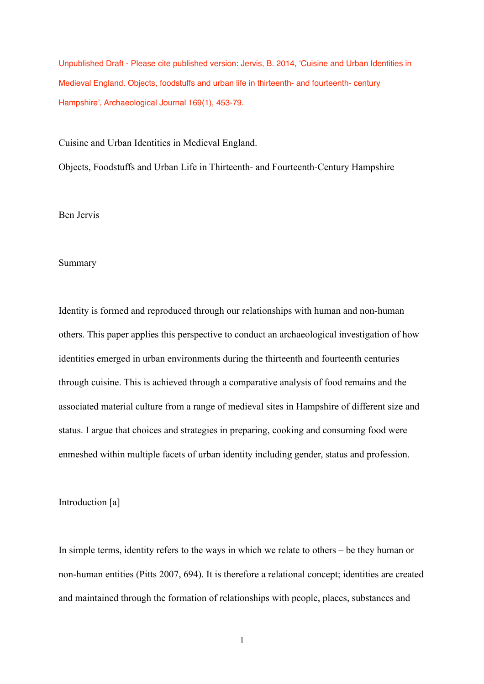Unpublished Draft - Please cite published version: Jervis, B. 2014, 'Cuisine and Urban Identities in Medieval England. Objects, foodstuffs and urban life in thirteenth- and fourteenth- century Hampshire', Archaeological Journal 169(1), 453-79.

Cuisine and Urban Identities in Medieval England.

Objects, Foodstuffs and Urban Life in Thirteenth- and Fourteenth-Century Hampshire

Ben Jervis

## Summary

Identity is formed and reproduced through our relationships with human and non-human others. This paper applies this perspective to conduct an archaeological investigation of how identities emerged in urban environments during the thirteenth and fourteenth centuries through cuisine. This is achieved through a comparative analysis of food remains and the associated material culture from a range of medieval sites in Hampshire of different size and status. I argue that choices and strategies in preparing, cooking and consuming food were enmeshed within multiple facets of urban identity including gender, status and profession.

Introduction [a]

In simple terms, identity refers to the ways in which we relate to others – be they human or non-human entities (Pitts 2007, 694). It is therefore a relational concept; identities are created and maintained through the formation of relationships with people, places, substances and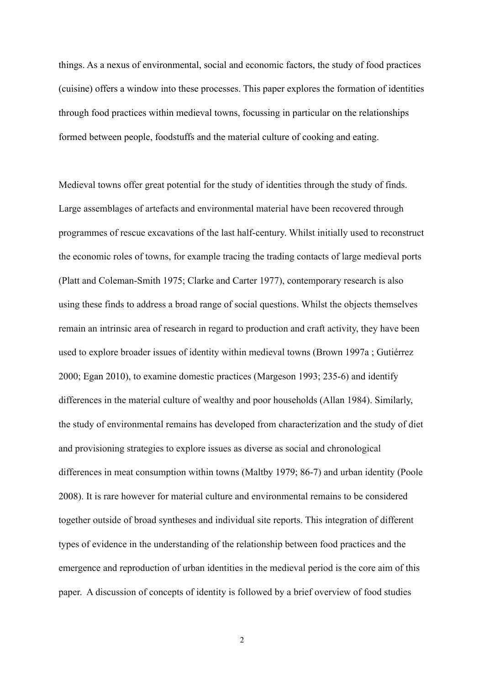things. As a nexus of environmental, social and economic factors, the study of food practices (cuisine) offers a window into these processes. This paper explores the formation of identities through food practices within medieval towns, focussing in particular on the relationships formed between people, foodstuffs and the material culture of cooking and eating.

Medieval towns offer great potential for the study of identities through the study of finds. Large assemblages of artefacts and environmental material have been recovered through programmes of rescue excavations of the last half-century. Whilst initially used to reconstruct the economic roles of towns, for example tracing the trading contacts of large medieval ports (Platt and Coleman-Smith 1975; Clarke and Carter 1977), contemporary research is also using these finds to address a broad range of social questions. Whilst the objects themselves remain an intrinsic area of research in regard to production and craft activity, they have been used to explore broader issues of identity within medieval towns (Brown 1997a ; Gutiérrez 2000; Egan 2010), to examine domestic practices (Margeson 1993; 235-6) and identify differences in the material culture of wealthy and poor households (Allan 1984). Similarly, the study of environmental remains has developed from characterization and the study of diet and provisioning strategies to explore issues as diverse as social and chronological differences in meat consumption within towns (Maltby 1979; 86-7) and urban identity (Poole 2008). It is rare however for material culture and environmental remains to be considered together outside of broad syntheses and individual site reports. This integration of different types of evidence in the understanding of the relationship between food practices and the emergence and reproduction of urban identities in the medieval period is the core aim of this paper. A discussion of concepts of identity is followed by a brief overview of food studies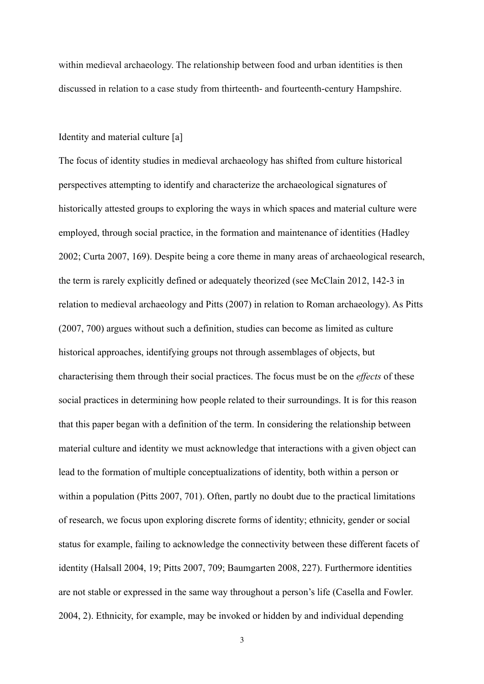within medieval archaeology. The relationship between food and urban identities is then discussed in relation to a case study from thirteenth- and fourteenth-century Hampshire.

## Identity and material culture [a]

The focus of identity studies in medieval archaeology has shifted from culture historical perspectives attempting to identify and characterize the archaeological signatures of historically attested groups to exploring the ways in which spaces and material culture were employed, through social practice, in the formation and maintenance of identities (Hadley 2002; Curta 2007, 169). Despite being a core theme in many areas of archaeological research, the term is rarely explicitly defined or adequately theorized (see McClain 2012, 142-3 in relation to medieval archaeology and Pitts (2007) in relation to Roman archaeology). As Pitts (2007, 700) argues without such a definition, studies can become as limited as culture historical approaches, identifying groups not through assemblages of objects, but characterising them through their social practices. The focus must be on the *effects* of these social practices in determining how people related to their surroundings. It is for this reason that this paper began with a definition of the term. In considering the relationship between material culture and identity we must acknowledge that interactions with a given object can lead to the formation of multiple conceptualizations of identity, both within a person or within a population (Pitts 2007, 701). Often, partly no doubt due to the practical limitations of research, we focus upon exploring discrete forms of identity; ethnicity, gender or social status for example, failing to acknowledge the connectivity between these different facets of identity (Halsall 2004, 19; Pitts 2007, 709; Baumgarten 2008, 227). Furthermore identities are not stable or expressed in the same way throughout a person's life (Casella and Fowler. 2004, 2). Ethnicity, for example, may be invoked or hidden by and individual depending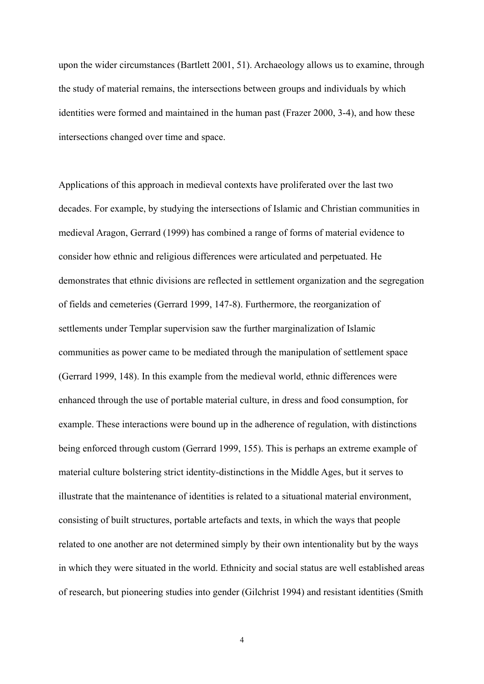upon the wider circumstances (Bartlett 2001, 51). Archaeology allows us to examine, through the study of material remains, the intersections between groups and individuals by which identities were formed and maintained in the human past (Frazer 2000, 3-4), and how these intersections changed over time and space.

Applications of this approach in medieval contexts have proliferated over the last two decades. For example, by studying the intersections of Islamic and Christian communities in medieval Aragon, Gerrard (1999) has combined a range of forms of material evidence to consider how ethnic and religious differences were articulated and perpetuated. He demonstrates that ethnic divisions are reflected in settlement organization and the segregation of fields and cemeteries (Gerrard 1999, 147-8). Furthermore, the reorganization of settlements under Templar supervision saw the further marginalization of Islamic communities as power came to be mediated through the manipulation of settlement space (Gerrard 1999, 148). In this example from the medieval world, ethnic differences were enhanced through the use of portable material culture, in dress and food consumption, for example. These interactions were bound up in the adherence of regulation, with distinctions being enforced through custom (Gerrard 1999, 155). This is perhaps an extreme example of material culture bolstering strict identity-distinctions in the Middle Ages, but it serves to illustrate that the maintenance of identities is related to a situational material environment, consisting of built structures, portable artefacts and texts, in which the ways that people related to one another are not determined simply by their own intentionality but by the ways in which they were situated in the world. Ethnicity and social status are well established areas of research, but pioneering studies into gender (Gilchrist 1994) and resistant identities (Smith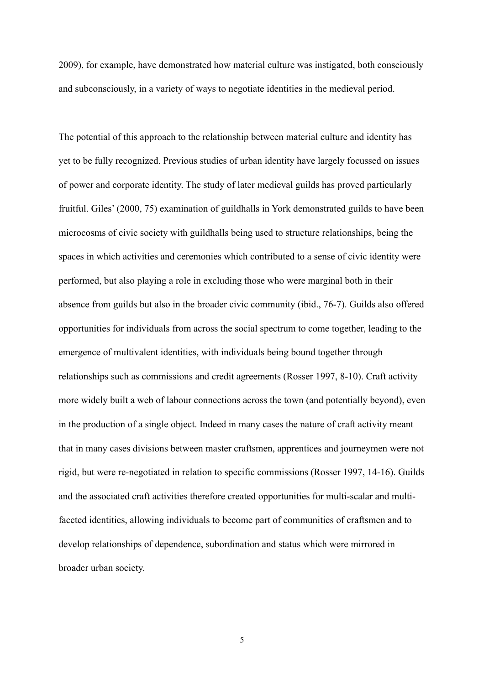2009), for example, have demonstrated how material culture was instigated, both consciously and subconsciously, in a variety of ways to negotiate identities in the medieval period.

The potential of this approach to the relationship between material culture and identity has yet to be fully recognized. Previous studies of urban identity have largely focussed on issues of power and corporate identity. The study of later medieval guilds has proved particularly fruitful. Giles' (2000, 75) examination of guildhalls in York demonstrated guilds to have been microcosms of civic society with guildhalls being used to structure relationships, being the spaces in which activities and ceremonies which contributed to a sense of civic identity were performed, but also playing a role in excluding those who were marginal both in their absence from guilds but also in the broader civic community (ibid., 76-7). Guilds also offered opportunities for individuals from across the social spectrum to come together, leading to the emergence of multivalent identities, with individuals being bound together through relationships such as commissions and credit agreements (Rosser 1997, 8-10). Craft activity more widely built a web of labour connections across the town (and potentially beyond), even in the production of a single object. Indeed in many cases the nature of craft activity meant that in many cases divisions between master craftsmen, apprentices and journeymen were not rigid, but were re-negotiated in relation to specific commissions (Rosser 1997, 14-16). Guilds and the associated craft activities therefore created opportunities for multi-scalar and multifaceted identities, allowing individuals to become part of communities of craftsmen and to develop relationships of dependence, subordination and status which were mirrored in broader urban society.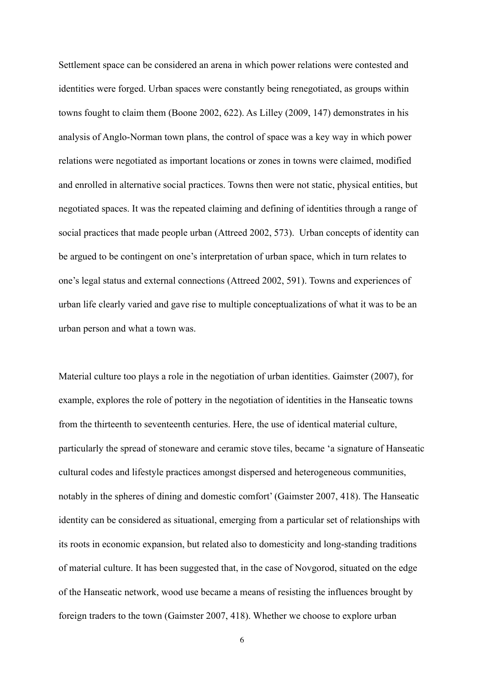Settlement space can be considered an arena in which power relations were contested and identities were forged. Urban spaces were constantly being renegotiated, as groups within towns fought to claim them (Boone 2002, 622). As Lilley (2009, 147) demonstrates in his analysis of Anglo-Norman town plans, the control of space was a key way in which power relations were negotiated as important locations or zones in towns were claimed, modified and enrolled in alternative social practices. Towns then were not static, physical entities, but negotiated spaces. It was the repeated claiming and defining of identities through a range of social practices that made people urban (Attreed 2002, 573). Urban concepts of identity can be argued to be contingent on one's interpretation of urban space, which in turn relates to one's legal status and external connections (Attreed 2002, 591). Towns and experiences of urban life clearly varied and gave rise to multiple conceptualizations of what it was to be an urban person and what a town was.

Material culture too plays a role in the negotiation of urban identities. Gaimster (2007), for example, explores the role of pottery in the negotiation of identities in the Hanseatic towns from the thirteenth to seventeenth centuries. Here, the use of identical material culture, particularly the spread of stoneware and ceramic stove tiles, became 'a signature of Hanseatic cultural codes and lifestyle practices amongst dispersed and heterogeneous communities, notably in the spheres of dining and domestic comfort' (Gaimster 2007, 418). The Hanseatic identity can be considered as situational, emerging from a particular set of relationships with its roots in economic expansion, but related also to domesticity and long-standing traditions of material culture. It has been suggested that, in the case of Novgorod, situated on the edge of the Hanseatic network, wood use became a means of resisting the influences brought by foreign traders to the town (Gaimster 2007, 418). Whether we choose to explore urban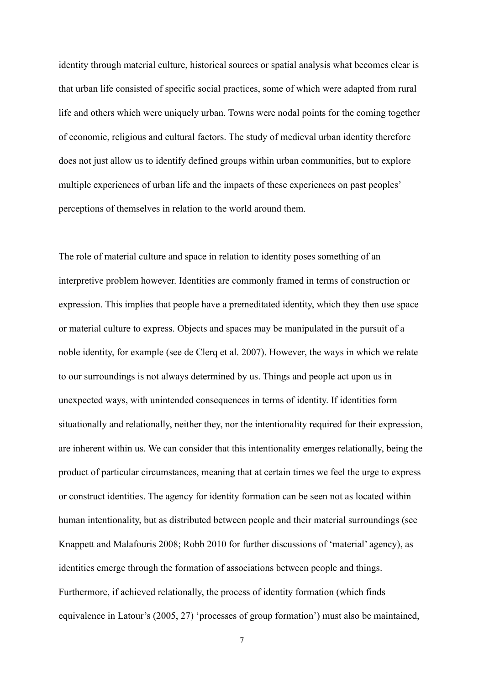identity through material culture, historical sources or spatial analysis what becomes clear is that urban life consisted of specific social practices, some of which were adapted from rural life and others which were uniquely urban. Towns were nodal points for the coming together of economic, religious and cultural factors. The study of medieval urban identity therefore does not just allow us to identify defined groups within urban communities, but to explore multiple experiences of urban life and the impacts of these experiences on past peoples' perceptions of themselves in relation to the world around them.

The role of material culture and space in relation to identity poses something of an interpretive problem however. Identities are commonly framed in terms of construction or expression. This implies that people have a premeditated identity, which they then use space or material culture to express. Objects and spaces may be manipulated in the pursuit of a noble identity, for example (see de Clerq et al. 2007). However, the ways in which we relate to our surroundings is not always determined by us. Things and people act upon us in unexpected ways, with unintended consequences in terms of identity. If identities form situationally and relationally, neither they, nor the intentionality required for their expression, are inherent within us. We can consider that this intentionality emerges relationally, being the product of particular circumstances, meaning that at certain times we feel the urge to express or construct identities. The agency for identity formation can be seen not as located within human intentionality, but as distributed between people and their material surroundings (see Knappett and Malafouris 2008; Robb 2010 for further discussions of 'material' agency), as identities emerge through the formation of associations between people and things. Furthermore, if achieved relationally, the process of identity formation (which finds equivalence in Latour's (2005, 27) 'processes of group formation') must also be maintained,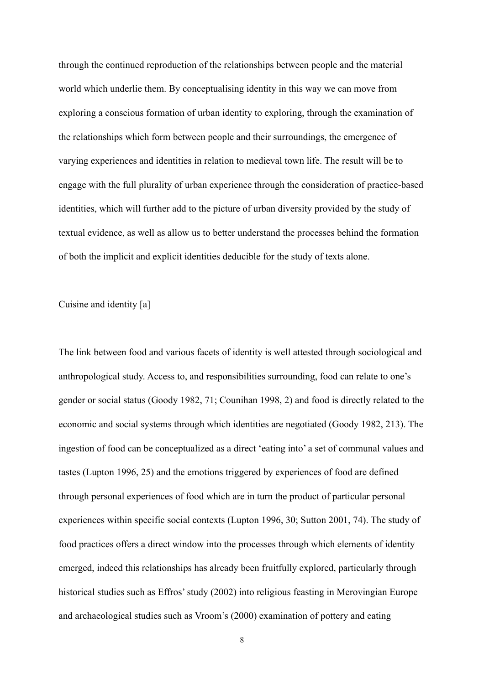through the continued reproduction of the relationships between people and the material world which underlie them. By conceptualising identity in this way we can move from exploring a conscious formation of urban identity to exploring, through the examination of the relationships which form between people and their surroundings, the emergence of varying experiences and identities in relation to medieval town life. The result will be to engage with the full plurality of urban experience through the consideration of practice-based identities, which will further add to the picture of urban diversity provided by the study of textual evidence, as well as allow us to better understand the processes behind the formation of both the implicit and explicit identities deducible for the study of texts alone.

Cuisine and identity [a]

The link between food and various facets of identity is well attested through sociological and anthropological study. Access to, and responsibilities surrounding, food can relate to one's gender or social status (Goody 1982, 71; Counihan 1998, 2) and food is directly related to the economic and social systems through which identities are negotiated (Goody 1982, 213). The ingestion of food can be conceptualized as a direct 'eating into' a set of communal values and tastes (Lupton 1996, 25) and the emotions triggered by experiences of food are defined through personal experiences of food which are in turn the product of particular personal experiences within specific social contexts (Lupton 1996, 30; Sutton 2001, 74). The study of food practices offers a direct window into the processes through which elements of identity emerged, indeed this relationships has already been fruitfully explored, particularly through historical studies such as Effros' study (2002) into religious feasting in Merovingian Europe and archaeological studies such as Vroom's (2000) examination of pottery and eating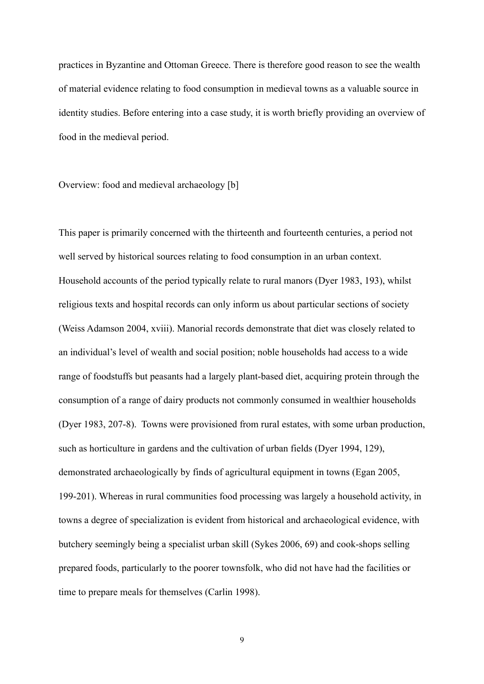practices in Byzantine and Ottoman Greece. There is therefore good reason to see the wealth of material evidence relating to food consumption in medieval towns as a valuable source in identity studies. Before entering into a case study, it is worth briefly providing an overview of food in the medieval period.

Overview: food and medieval archaeology [b]

This paper is primarily concerned with the thirteenth and fourteenth centuries, a period not well served by historical sources relating to food consumption in an urban context. Household accounts of the period typically relate to rural manors (Dyer 1983, 193), whilst religious texts and hospital records can only inform us about particular sections of society (Weiss Adamson 2004, xviii). Manorial records demonstrate that diet was closely related to an individual's level of wealth and social position; noble households had access to a wide range of foodstuffs but peasants had a largely plant-based diet, acquiring protein through the consumption of a range of dairy products not commonly consumed in wealthier households (Dyer 1983, 207-8). Towns were provisioned from rural estates, with some urban production, such as horticulture in gardens and the cultivation of urban fields (Dyer 1994, 129), demonstrated archaeologically by finds of agricultural equipment in towns (Egan 2005, 199-201). Whereas in rural communities food processing was largely a household activity, in towns a degree of specialization is evident from historical and archaeological evidence, with butchery seemingly being a specialist urban skill (Sykes 2006, 69) and cook-shops selling prepared foods, particularly to the poorer townsfolk, who did not have had the facilities or time to prepare meals for themselves (Carlin 1998).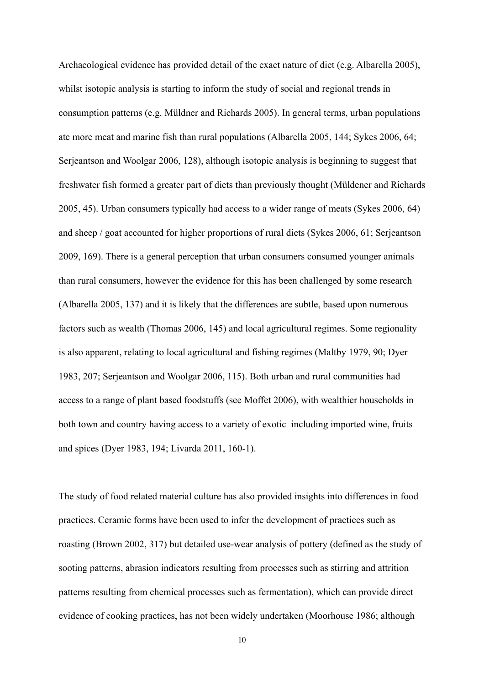Archaeological evidence has provided detail of the exact nature of diet (e.g. Albarella 2005), whilst isotopic analysis is starting to inform the study of social and regional trends in consumption patterns (e.g. Müldner and Richards 2005). In general terms, urban populations ate more meat and marine fish than rural populations (Albarella 2005, 144; Sykes 2006, 64; Serjeantson and Woolgar 2006, 128), although isotopic analysis is beginning to suggest that freshwater fish formed a greater part of diets than previously thought (Müldener and Richards 2005, 45). Urban consumers typically had access to a wider range of meats (Sykes 2006, 64) and sheep / goat accounted for higher proportions of rural diets (Sykes 2006, 61; Serjeantson 2009, 169). There is a general perception that urban consumers consumed younger animals than rural consumers, however the evidence for this has been challenged by some research (Albarella 2005, 137) and it is likely that the differences are subtle, based upon numerous factors such as wealth (Thomas 2006, 145) and local agricultural regimes. Some regionality is also apparent, relating to local agricultural and fishing regimes (Maltby 1979, 90; Dyer 1983, 207; Serjeantson and Woolgar 2006, 115). Both urban and rural communities had access to a range of plant based foodstuffs (see Moffet 2006), with wealthier households in both town and country having access to a variety of exotic including imported wine, fruits and spices (Dyer 1983, 194; Livarda 2011, 160-1).

The study of food related material culture has also provided insights into differences in food practices. Ceramic forms have been used to infer the development of practices such as roasting (Brown 2002, 317) but detailed use-wear analysis of pottery (defined as the study of sooting patterns, abrasion indicators resulting from processes such as stirring and attrition patterns resulting from chemical processes such as fermentation), which can provide direct evidence of cooking practices, has not been widely undertaken (Moorhouse 1986; although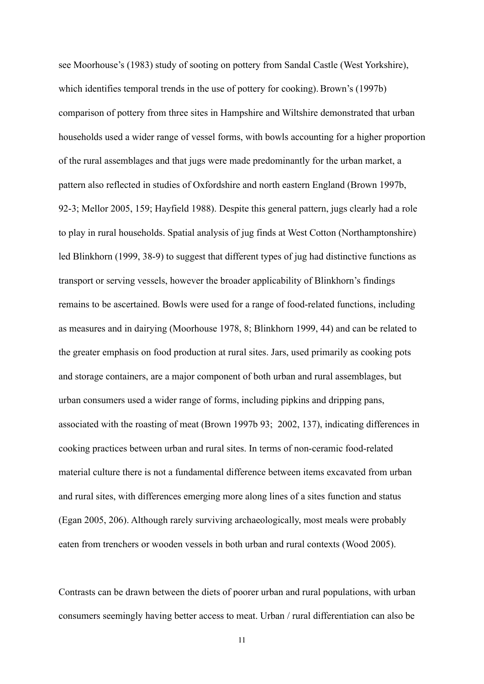see Moorhouse's (1983) study of sooting on pottery from Sandal Castle (West Yorkshire), which identifies temporal trends in the use of pottery for cooking). Brown's (1997b) comparison of pottery from three sites in Hampshire and Wiltshire demonstrated that urban households used a wider range of vessel forms, with bowls accounting for a higher proportion of the rural assemblages and that jugs were made predominantly for the urban market, a pattern also reflected in studies of Oxfordshire and north eastern England (Brown 1997b, 92-3; Mellor 2005, 159; Hayfield 1988). Despite this general pattern, jugs clearly had a role to play in rural households. Spatial analysis of jug finds at West Cotton (Northamptonshire) led Blinkhorn (1999, 38-9) to suggest that different types of jug had distinctive functions as transport or serving vessels, however the broader applicability of Blinkhorn's findings remains to be ascertained. Bowls were used for a range of food-related functions, including as measures and in dairying (Moorhouse 1978, 8; Blinkhorn 1999, 44) and can be related to the greater emphasis on food production at rural sites. Jars, used primarily as cooking pots and storage containers, are a major component of both urban and rural assemblages, but urban consumers used a wider range of forms, including pipkins and dripping pans, associated with the roasting of meat (Brown 1997b 93; 2002, 137), indicating differences in cooking practices between urban and rural sites. In terms of non-ceramic food-related material culture there is not a fundamental difference between items excavated from urban and rural sites, with differences emerging more along lines of a sites function and status (Egan 2005, 206). Although rarely surviving archaeologically, most meals were probably eaten from trenchers or wooden vessels in both urban and rural contexts (Wood 2005).

Contrasts can be drawn between the diets of poorer urban and rural populations, with urban consumers seemingly having better access to meat. Urban / rural differentiation can also be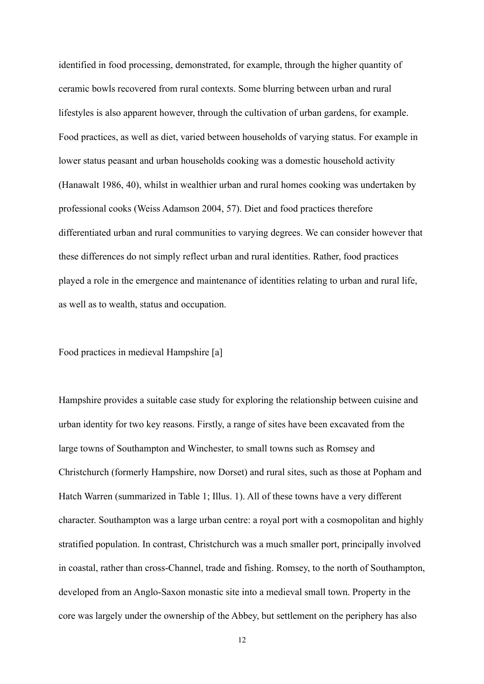identified in food processing, demonstrated, for example, through the higher quantity of ceramic bowls recovered from rural contexts. Some blurring between urban and rural lifestyles is also apparent however, through the cultivation of urban gardens, for example. Food practices, as well as diet, varied between households of varying status. For example in lower status peasant and urban households cooking was a domestic household activity (Hanawalt 1986, 40), whilst in wealthier urban and rural homes cooking was undertaken by professional cooks (Weiss Adamson 2004, 57). Diet and food practices therefore differentiated urban and rural communities to varying degrees. We can consider however that these differences do not simply reflect urban and rural identities. Rather, food practices played a role in the emergence and maintenance of identities relating to urban and rural life, as well as to wealth, status and occupation.

Food practices in medieval Hampshire [a]

Hampshire provides a suitable case study for exploring the relationship between cuisine and urban identity for two key reasons. Firstly, a range of sites have been excavated from the large towns of Southampton and Winchester, to small towns such as Romsey and Christchurch (formerly Hampshire, now Dorset) and rural sites, such as those at Popham and Hatch Warren (summarized in Table 1; Illus. 1). All of these towns have a very different character. Southampton was a large urban centre: a royal port with a cosmopolitan and highly stratified population. In contrast, Christchurch was a much smaller port, principally involved in coastal, rather than cross-Channel, trade and fishing. Romsey, to the north of Southampton, developed from an Anglo-Saxon monastic site into a medieval small town. Property in the core was largely under the ownership of the Abbey, but settlement on the periphery has also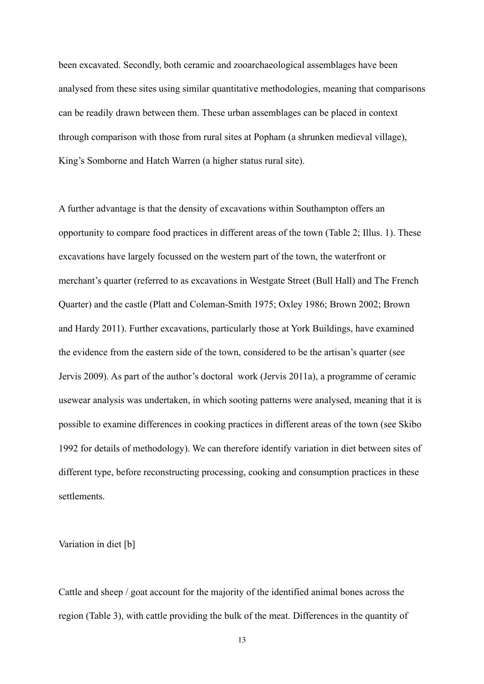been excavated. Secondly, both ceramic and zooarchaeological assemblages have been analysed from these sites using similar quantitative methodologies, meaning that comparisons can be readily drawn between them. These urban assemblages can be placed in context through comparison with those from rural sites at Popham (a shrunken medieval village), King's Somborne and Hatch Warren (a higher status rural site).

A further advantage is that the density of excavations within Southampton offers an opportunity to compare food practices in different areas of the town (Table 2; Illus. 1). These excavations have largely focussed on the western part of the town, the waterfront or merchant's quarter (referred to as excavations in Westgate Street (Bull Hall) and The French Quarter) and the castle (Platt and Coleman-Smith 1975; Oxley 1986; Brown 2002; Brown and Hardy 2011). Further excavations, particularly those at York Buildings, have examined the evidence from the eastern side of the town, considered to be the artisan's quarter (see Jervis 2009). As part of the author's doctoral work (Jervis 2011a), a programme of ceramic usewear analysis was undertaken, in which sooting patterns were analysed, meaning that it is possible to examine differences in cooking practices in different areas of the town (see Skibo 1992 for details of methodology). We can therefore identify variation in diet between sites of different type, before reconstructing processing, cooking and consumption practices in these settlements.

Variation in diet [b]

Cattle and sheep / goat account for the majority of the identified animal bones across the region (Table 3), with cattle providing the bulk of the meat. Differences in the quantity of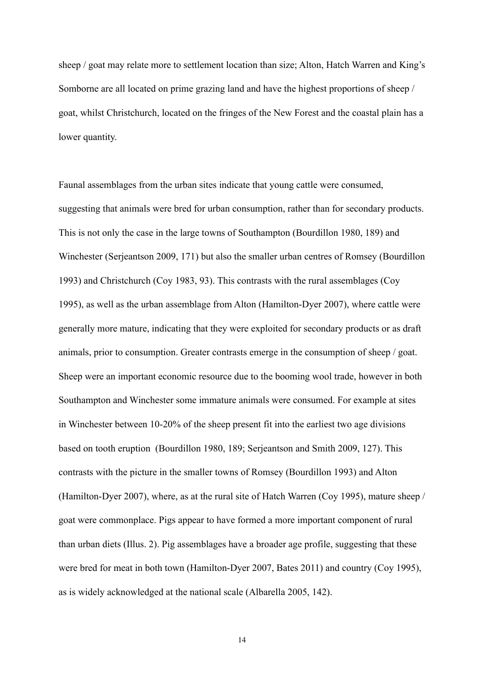sheep / goat may relate more to settlement location than size; Alton, Hatch Warren and King's Somborne are all located on prime grazing land and have the highest proportions of sheep / goat, whilst Christchurch, located on the fringes of the New Forest and the coastal plain has a lower quantity.

Faunal assemblages from the urban sites indicate that young cattle were consumed, suggesting that animals were bred for urban consumption, rather than for secondary products. This is not only the case in the large towns of Southampton (Bourdillon 1980, 189) and Winchester (Serjeantson 2009, 171) but also the smaller urban centres of Romsey (Bourdillon 1993) and Christchurch (Coy 1983, 93). This contrasts with the rural assemblages (Coy 1995), as well as the urban assemblage from Alton (Hamilton-Dyer 2007), where cattle were generally more mature, indicating that they were exploited for secondary products or as draft animals, prior to consumption. Greater contrasts emerge in the consumption of sheep / goat. Sheep were an important economic resource due to the booming wool trade, however in both Southampton and Winchester some immature animals were consumed. For example at sites in Winchester between 10-20% of the sheep present fit into the earliest two age divisions based on tooth eruption (Bourdillon 1980, 189; Serjeantson and Smith 2009, 127). This contrasts with the picture in the smaller towns of Romsey (Bourdillon 1993) and Alton (Hamilton-Dyer 2007), where, as at the rural site of Hatch Warren (Coy 1995), mature sheep / goat were commonplace. Pigs appear to have formed a more important component of rural than urban diets (Illus. 2). Pig assemblages have a broader age profile, suggesting that these were bred for meat in both town (Hamilton-Dyer 2007, Bates 2011) and country (Coy 1995), as is widely acknowledged at the national scale (Albarella 2005, 142).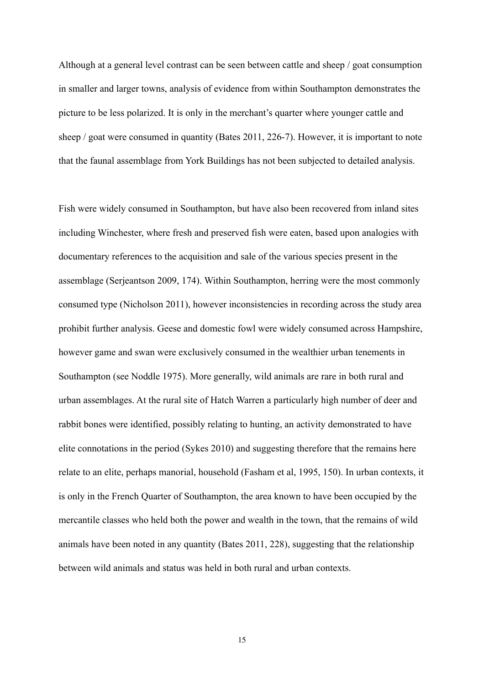Although at a general level contrast can be seen between cattle and sheep / goat consumption in smaller and larger towns, analysis of evidence from within Southampton demonstrates the picture to be less polarized. It is only in the merchant's quarter where younger cattle and sheep / goat were consumed in quantity (Bates 2011, 226-7). However, it is important to note that the faunal assemblage from York Buildings has not been subjected to detailed analysis.

Fish were widely consumed in Southampton, but have also been recovered from inland sites including Winchester, where fresh and preserved fish were eaten, based upon analogies with documentary references to the acquisition and sale of the various species present in the assemblage (Serjeantson 2009, 174). Within Southampton, herring were the most commonly consumed type (Nicholson 2011), however inconsistencies in recording across the study area prohibit further analysis. Geese and domestic fowl were widely consumed across Hampshire, however game and swan were exclusively consumed in the wealthier urban tenements in Southampton (see Noddle 1975). More generally, wild animals are rare in both rural and urban assemblages. At the rural site of Hatch Warren a particularly high number of deer and rabbit bones were identified, possibly relating to hunting, an activity demonstrated to have elite connotations in the period (Sykes 2010) and suggesting therefore that the remains here relate to an elite, perhaps manorial, household (Fasham et al, 1995, 150). In urban contexts, it is only in the French Quarter of Southampton, the area known to have been occupied by the mercantile classes who held both the power and wealth in the town, that the remains of wild animals have been noted in any quantity (Bates 2011, 228), suggesting that the relationship between wild animals and status was held in both rural and urban contexts.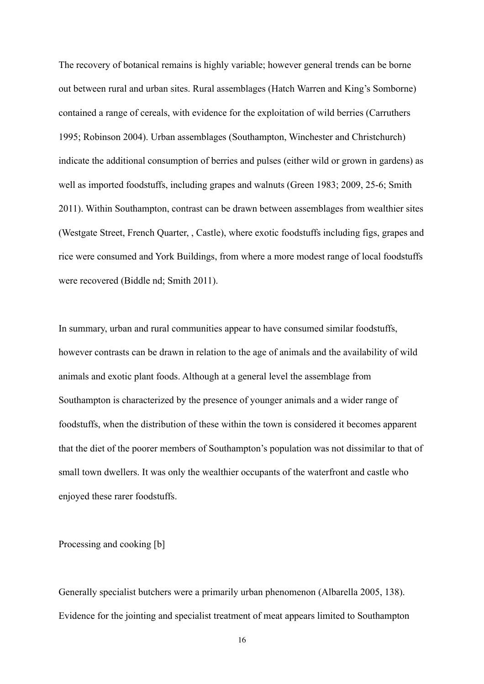The recovery of botanical remains is highly variable; however general trends can be borne out between rural and urban sites. Rural assemblages (Hatch Warren and King's Somborne) contained a range of cereals, with evidence for the exploitation of wild berries (Carruthers 1995; Robinson 2004). Urban assemblages (Southampton, Winchester and Christchurch) indicate the additional consumption of berries and pulses (either wild or grown in gardens) as well as imported foodstuffs, including grapes and walnuts (Green 1983; 2009, 25-6; Smith 2011). Within Southampton, contrast can be drawn between assemblages from wealthier sites (Westgate Street, French Quarter, , Castle), where exotic foodstuffs including figs, grapes and rice were consumed and York Buildings, from where a more modest range of local foodstuffs were recovered (Biddle nd; Smith 2011).

In summary, urban and rural communities appear to have consumed similar foodstuffs, however contrasts can be drawn in relation to the age of animals and the availability of wild animals and exotic plant foods. Although at a general level the assemblage from Southampton is characterized by the presence of younger animals and a wider range of foodstuffs, when the distribution of these within the town is considered it becomes apparent that the diet of the poorer members of Southampton's population was not dissimilar to that of small town dwellers. It was only the wealthier occupants of the waterfront and castle who enjoyed these rarer foodstuffs.

Processing and cooking [b]

Generally specialist butchers were a primarily urban phenomenon (Albarella 2005, 138). Evidence for the jointing and specialist treatment of meat appears limited to Southampton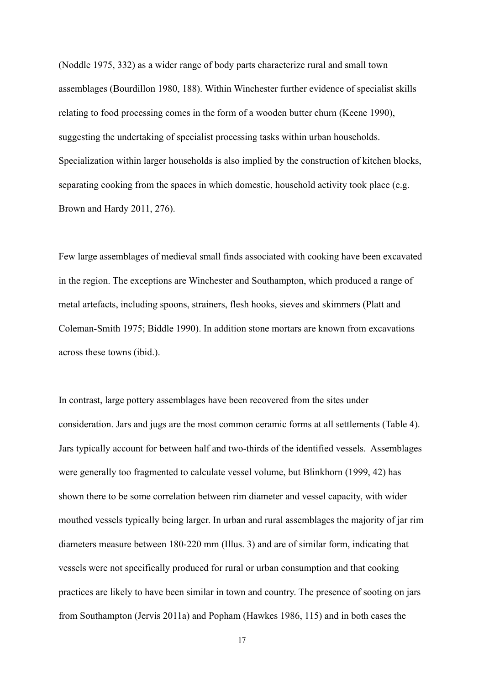(Noddle 1975, 332) as a wider range of body parts characterize rural and small town assemblages (Bourdillon 1980, 188). Within Winchester further evidence of specialist skills relating to food processing comes in the form of a wooden butter churn (Keene 1990), suggesting the undertaking of specialist processing tasks within urban households. Specialization within larger households is also implied by the construction of kitchen blocks, separating cooking from the spaces in which domestic, household activity took place (e.g. Brown and Hardy 2011, 276).

Few large assemblages of medieval small finds associated with cooking have been excavated in the region. The exceptions are Winchester and Southampton, which produced a range of metal artefacts, including spoons, strainers, flesh hooks, sieves and skimmers (Platt and Coleman-Smith 1975; Biddle 1990). In addition stone mortars are known from excavations across these towns (ibid.).

In contrast, large pottery assemblages have been recovered from the sites under consideration. Jars and jugs are the most common ceramic forms at all settlements (Table 4). Jars typically account for between half and two-thirds of the identified vessels. Assemblages were generally too fragmented to calculate vessel volume, but Blinkhorn (1999, 42) has shown there to be some correlation between rim diameter and vessel capacity, with wider mouthed vessels typically being larger. In urban and rural assemblages the majority of jar rim diameters measure between 180-220 mm (Illus. 3) and are of similar form, indicating that vessels were not specifically produced for rural or urban consumption and that cooking practices are likely to have been similar in town and country. The presence of sooting on jars from Southampton (Jervis 2011a) and Popham (Hawkes 1986, 115) and in both cases the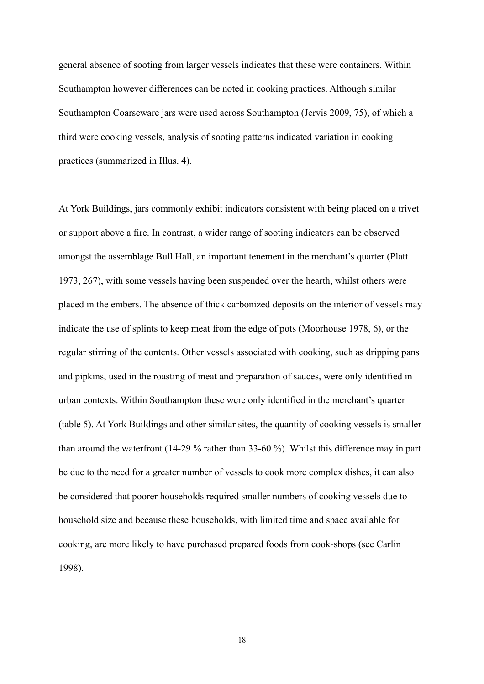general absence of sooting from larger vessels indicates that these were containers. Within Southampton however differences can be noted in cooking practices. Although similar Southampton Coarseware jars were used across Southampton (Jervis 2009, 75), of which a third were cooking vessels, analysis of sooting patterns indicated variation in cooking practices (summarized in Illus. 4).

At York Buildings, jars commonly exhibit indicators consistent with being placed on a trivet or support above a fire. In contrast, a wider range of sooting indicators can be observed amongst the assemblage Bull Hall, an important tenement in the merchant's quarter (Platt 1973, 267), with some vessels having been suspended over the hearth, whilst others were placed in the embers. The absence of thick carbonized deposits on the interior of vessels may indicate the use of splints to keep meat from the edge of pots (Moorhouse 1978, 6), or the regular stirring of the contents. Other vessels associated with cooking, such as dripping pans and pipkins, used in the roasting of meat and preparation of sauces, were only identified in urban contexts. Within Southampton these were only identified in the merchant's quarter (table 5). At York Buildings and other similar sites, the quantity of cooking vessels is smaller than around the waterfront (14-29 % rather than 33-60 %). Whilst this difference may in part be due to the need for a greater number of vessels to cook more complex dishes, it can also be considered that poorer households required smaller numbers of cooking vessels due to household size and because these households, with limited time and space available for cooking, are more likely to have purchased prepared foods from cook-shops (see Carlin 1998).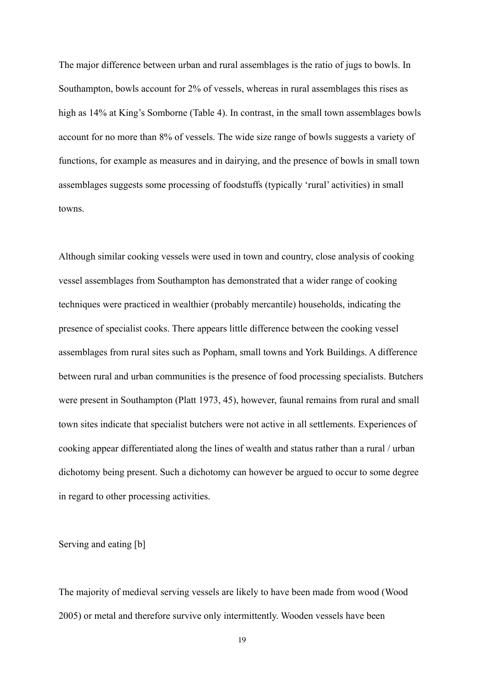The major difference between urban and rural assemblages is the ratio of jugs to bowls. In Southampton, bowls account for 2% of vessels, whereas in rural assemblages this rises as high as 14% at King's Somborne (Table 4). In contrast, in the small town assemblages bowls account for no more than 8% of vessels. The wide size range of bowls suggests a variety of functions, for example as measures and in dairying, and the presence of bowls in small town assemblages suggests some processing of foodstuffs (typically 'rural' activities) in small towns.

Although similar cooking vessels were used in town and country, close analysis of cooking vessel assemblages from Southampton has demonstrated that a wider range of cooking techniques were practiced in wealthier (probably mercantile) households, indicating the presence of specialist cooks. There appears little difference between the cooking vessel assemblages from rural sites such as Popham, small towns and York Buildings. A difference between rural and urban communities is the presence of food processing specialists. Butchers were present in Southampton (Platt 1973, 45), however, faunal remains from rural and small town sites indicate that specialist butchers were not active in all settlements. Experiences of cooking appear differentiated along the lines of wealth and status rather than a rural / urban dichotomy being present. Such a dichotomy can however be argued to occur to some degree in regard to other processing activities.

Serving and eating [b]

The majority of medieval serving vessels are likely to have been made from wood (Wood 2005) or metal and therefore survive only intermittently. Wooden vessels have been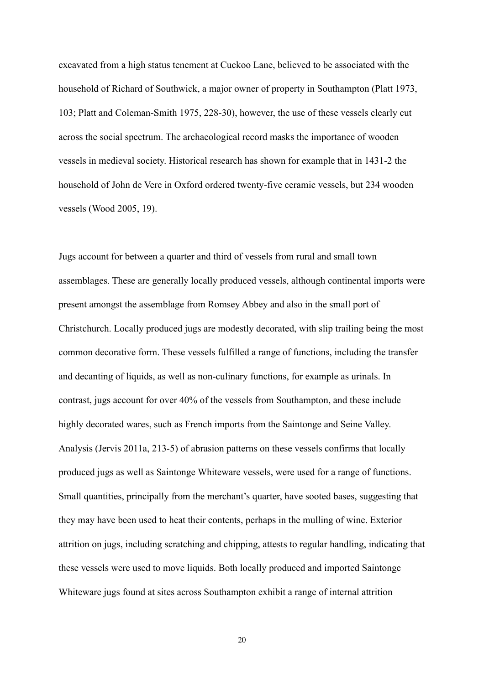excavated from a high status tenement at Cuckoo Lane, believed to be associated with the household of Richard of Southwick, a major owner of property in Southampton (Platt 1973, 103; Platt and Coleman-Smith 1975, 228-30), however, the use of these vessels clearly cut across the social spectrum. The archaeological record masks the importance of wooden vessels in medieval society. Historical research has shown for example that in 1431-2 the household of John de Vere in Oxford ordered twenty-five ceramic vessels, but 234 wooden vessels (Wood 2005, 19).

Jugs account for between a quarter and third of vessels from rural and small town assemblages. These are generally locally produced vessels, although continental imports were present amongst the assemblage from Romsey Abbey and also in the small port of Christchurch. Locally produced jugs are modestly decorated, with slip trailing being the most common decorative form. These vessels fulfilled a range of functions, including the transfer and decanting of liquids, as well as non-culinary functions, for example as urinals. In contrast, jugs account for over 40% of the vessels from Southampton, and these include highly decorated wares, such as French imports from the Saintonge and Seine Valley. Analysis (Jervis 2011a, 213-5) of abrasion patterns on these vessels confirms that locally produced jugs as well as Saintonge Whiteware vessels, were used for a range of functions. Small quantities, principally from the merchant's quarter, have sooted bases, suggesting that they may have been used to heat their contents, perhaps in the mulling of wine. Exterior attrition on jugs, including scratching and chipping, attests to regular handling, indicating that these vessels were used to move liquids. Both locally produced and imported Saintonge Whiteware jugs found at sites across Southampton exhibit a range of internal attrition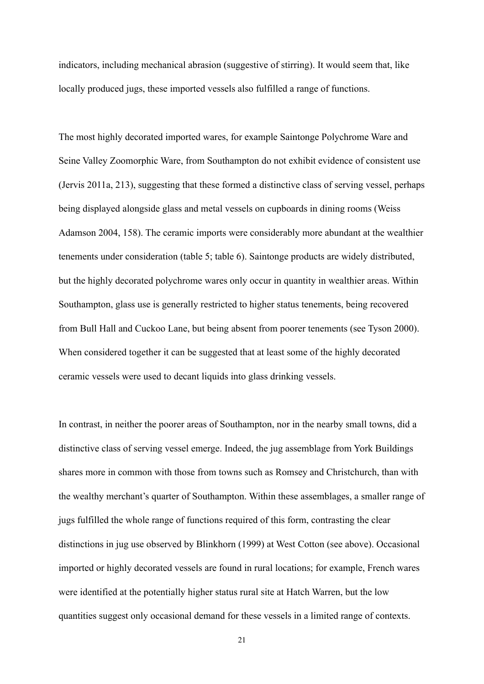indicators, including mechanical abrasion (suggestive of stirring). It would seem that, like locally produced jugs, these imported vessels also fulfilled a range of functions.

The most highly decorated imported wares, for example Saintonge Polychrome Ware and Seine Valley Zoomorphic Ware, from Southampton do not exhibit evidence of consistent use (Jervis 2011a, 213), suggesting that these formed a distinctive class of serving vessel, perhaps being displayed alongside glass and metal vessels on cupboards in dining rooms (Weiss Adamson 2004, 158). The ceramic imports were considerably more abundant at the wealthier tenements under consideration (table 5; table 6). Saintonge products are widely distributed, but the highly decorated polychrome wares only occur in quantity in wealthier areas. Within Southampton, glass use is generally restricted to higher status tenements, being recovered from Bull Hall and Cuckoo Lane, but being absent from poorer tenements (see Tyson 2000). When considered together it can be suggested that at least some of the highly decorated ceramic vessels were used to decant liquids into glass drinking vessels.

In contrast, in neither the poorer areas of Southampton, nor in the nearby small towns, did a distinctive class of serving vessel emerge. Indeed, the jug assemblage from York Buildings shares more in common with those from towns such as Romsey and Christchurch, than with the wealthy merchant's quarter of Southampton. Within these assemblages, a smaller range of jugs fulfilled the whole range of functions required of this form, contrasting the clear distinctions in jug use observed by Blinkhorn (1999) at West Cotton (see above). Occasional imported or highly decorated vessels are found in rural locations; for example, French wares were identified at the potentially higher status rural site at Hatch Warren, but the low quantities suggest only occasional demand for these vessels in a limited range of contexts.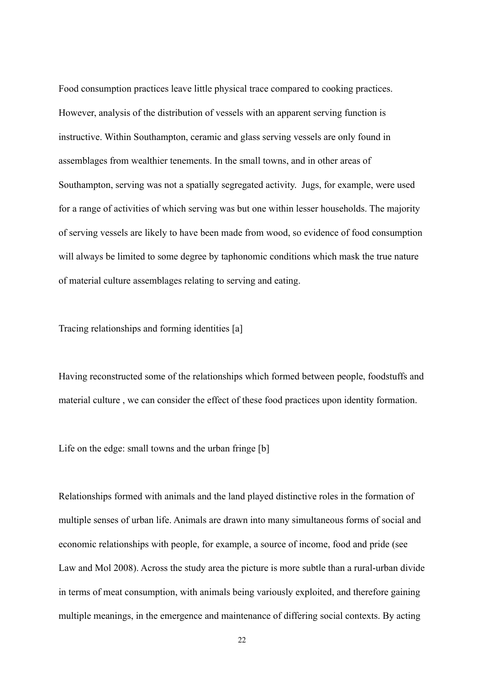Food consumption practices leave little physical trace compared to cooking practices. However, analysis of the distribution of vessels with an apparent serving function is instructive. Within Southampton, ceramic and glass serving vessels are only found in assemblages from wealthier tenements. In the small towns, and in other areas of Southampton, serving was not a spatially segregated activity. Jugs, for example, were used for a range of activities of which serving was but one within lesser households. The majority of serving vessels are likely to have been made from wood, so evidence of food consumption will always be limited to some degree by taphonomic conditions which mask the true nature of material culture assemblages relating to serving and eating.

Tracing relationships and forming identities [a]

Having reconstructed some of the relationships which formed between people, foodstuffs and material culture , we can consider the effect of these food practices upon identity formation.

Life on the edge: small towns and the urban fringe [b]

Relationships formed with animals and the land played distinctive roles in the formation of multiple senses of urban life. Animals are drawn into many simultaneous forms of social and economic relationships with people, for example, a source of income, food and pride (see Law and Mol 2008). Across the study area the picture is more subtle than a rural-urban divide in terms of meat consumption, with animals being variously exploited, and therefore gaining multiple meanings, in the emergence and maintenance of differing social contexts. By acting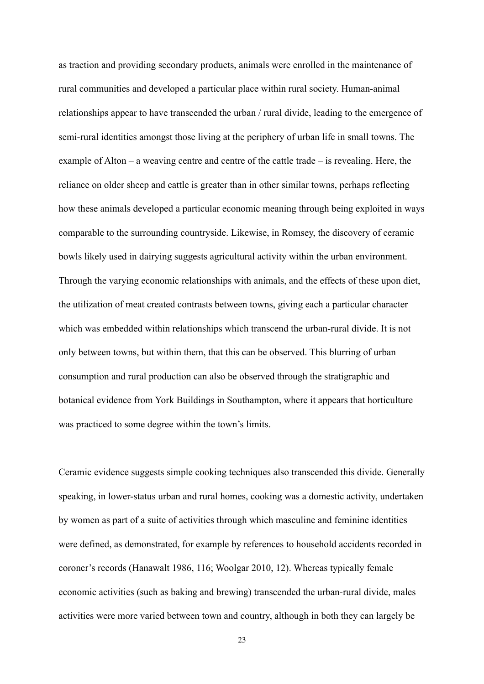as traction and providing secondary products, animals were enrolled in the maintenance of rural communities and developed a particular place within rural society. Human-animal relationships appear to have transcended the urban / rural divide, leading to the emergence of semi-rural identities amongst those living at the periphery of urban life in small towns. The example of Alton – a weaving centre and centre of the cattle trade – is revealing. Here, the reliance on older sheep and cattle is greater than in other similar towns, perhaps reflecting how these animals developed a particular economic meaning through being exploited in ways comparable to the surrounding countryside. Likewise, in Romsey, the discovery of ceramic bowls likely used in dairying suggests agricultural activity within the urban environment. Through the varying economic relationships with animals, and the effects of these upon diet, the utilization of meat created contrasts between towns, giving each a particular character which was embedded within relationships which transcend the urban-rural divide. It is not only between towns, but within them, that this can be observed. This blurring of urban consumption and rural production can also be observed through the stratigraphic and botanical evidence from York Buildings in Southampton, where it appears that horticulture was practiced to some degree within the town's limits.

Ceramic evidence suggests simple cooking techniques also transcended this divide. Generally speaking, in lower-status urban and rural homes, cooking was a domestic activity, undertaken by women as part of a suite of activities through which masculine and feminine identities were defined, as demonstrated, for example by references to household accidents recorded in coroner's records (Hanawalt 1986, 116; Woolgar 2010, 12). Whereas typically female economic activities (such as baking and brewing) transcended the urban-rural divide, males activities were more varied between town and country, although in both they can largely be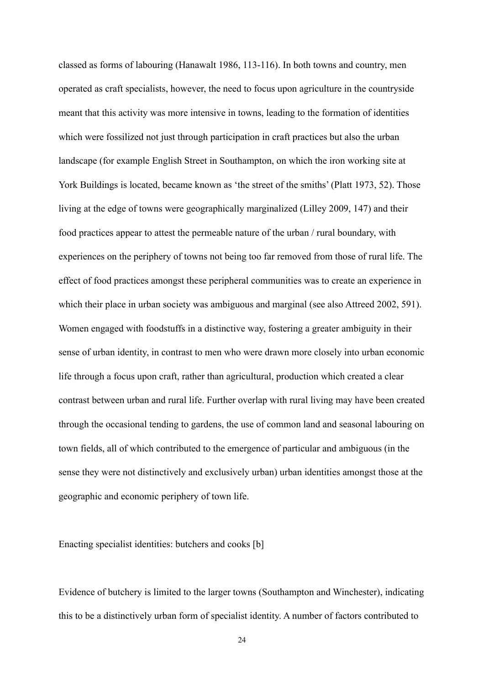classed as forms of labouring (Hanawalt 1986, 113-116). In both towns and country, men operated as craft specialists, however, the need to focus upon agriculture in the countryside meant that this activity was more intensive in towns, leading to the formation of identities which were fossilized not just through participation in craft practices but also the urban landscape (for example English Street in Southampton, on which the iron working site at York Buildings is located, became known as 'the street of the smiths' (Platt 1973, 52). Those living at the edge of towns were geographically marginalized (Lilley 2009, 147) and their food practices appear to attest the permeable nature of the urban / rural boundary, with experiences on the periphery of towns not being too far removed from those of rural life. The effect of food practices amongst these peripheral communities was to create an experience in which their place in urban society was ambiguous and marginal (see also Attreed 2002, 591). Women engaged with foodstuffs in a distinctive way, fostering a greater ambiguity in their sense of urban identity, in contrast to men who were drawn more closely into urban economic life through a focus upon craft, rather than agricultural, production which created a clear contrast between urban and rural life. Further overlap with rural living may have been created through the occasional tending to gardens, the use of common land and seasonal labouring on town fields, all of which contributed to the emergence of particular and ambiguous (in the sense they were not distinctively and exclusively urban) urban identities amongst those at the geographic and economic periphery of town life.

Enacting specialist identities: butchers and cooks [b]

Evidence of butchery is limited to the larger towns (Southampton and Winchester), indicating this to be a distinctively urban form of specialist identity. A number of factors contributed to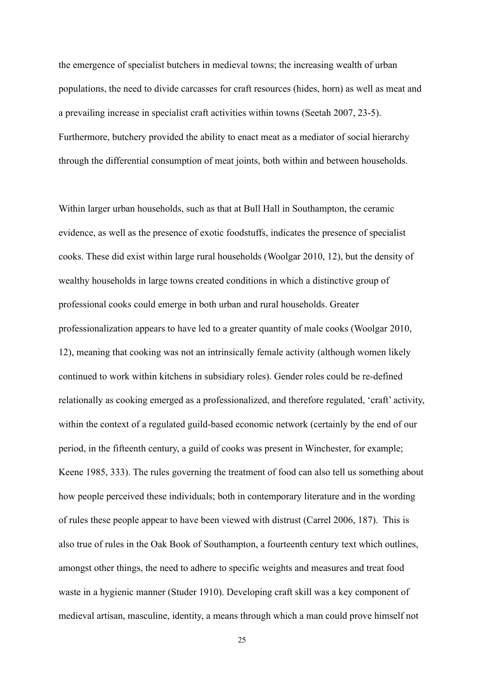the emergence of specialist butchers in medieval towns; the increasing wealth of urban populations, the need to divide carcasses for craft resources (hides, horn) as well as meat and a prevailing increase in specialist craft activities within towns (Seetah 2007, 23-5). Furthermore, butchery provided the ability to enact meat as a mediator of social hierarchy through the differential consumption of meat joints, both within and between households.

Within larger urban households, such as that at Bull Hall in Southampton, the ceramic evidence, as well as the presence of exotic foodstuffs, indicates the presence of specialist cooks. These did exist within large rural households (Woolgar 2010, 12), but the density of wealthy households in large towns created conditions in which a distinctive group of professional cooks could emerge in both urban and rural households. Greater professionalization appears to have led to a greater quantity of male cooks (Woolgar 2010, 12), meaning that cooking was not an intrinsically female activity (although women likely continued to work within kitchens in subsidiary roles). Gender roles could be re-defined relationally as cooking emerged as a professionalized, and therefore regulated, 'craft' activity, within the context of a regulated guild-based economic network (certainly by the end of our period, in the fifteenth century, a guild of cooks was present in Winchester, for example; Keene 1985, 333). The rules governing the treatment of food can also tell us something about how people perceived these individuals; both in contemporary literature and in the wording of rules these people appear to have been viewed with distrust (Carrel 2006, 187). This is also true of rules in the Oak Book of Southampton, a fourteenth century text which outlines, amongst other things, the need to adhere to specific weights and measures and treat food waste in a hygienic manner (Studer 1910). Developing craft skill was a key component of medieval artisan, masculine, identity, a means through which a man could prove himself not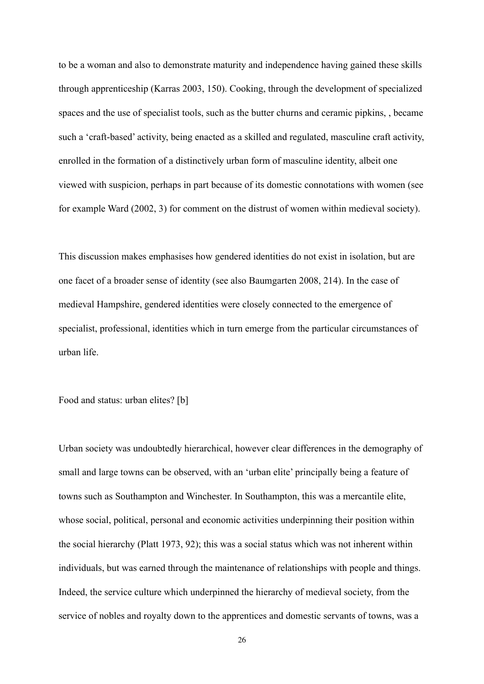to be a woman and also to demonstrate maturity and independence having gained these skills through apprenticeship (Karras 2003, 150). Cooking, through the development of specialized spaces and the use of specialist tools, such as the butter churns and ceramic pipkins, , became such a 'craft-based' activity, being enacted as a skilled and regulated, masculine craft activity, enrolled in the formation of a distinctively urban form of masculine identity, albeit one viewed with suspicion, perhaps in part because of its domestic connotations with women (see for example Ward (2002, 3) for comment on the distrust of women within medieval society).

This discussion makes emphasises how gendered identities do not exist in isolation, but are one facet of a broader sense of identity (see also Baumgarten 2008, 214). In the case of medieval Hampshire, gendered identities were closely connected to the emergence of specialist, professional, identities which in turn emerge from the particular circumstances of urban life.

Food and status: urban elites? [b]

Urban society was undoubtedly hierarchical, however clear differences in the demography of small and large towns can be observed, with an 'urban elite' principally being a feature of towns such as Southampton and Winchester. In Southampton, this was a mercantile elite, whose social, political, personal and economic activities underpinning their position within the social hierarchy (Platt 1973, 92); this was a social status which was not inherent within individuals, but was earned through the maintenance of relationships with people and things. Indeed, the service culture which underpinned the hierarchy of medieval society, from the service of nobles and royalty down to the apprentices and domestic servants of towns, was a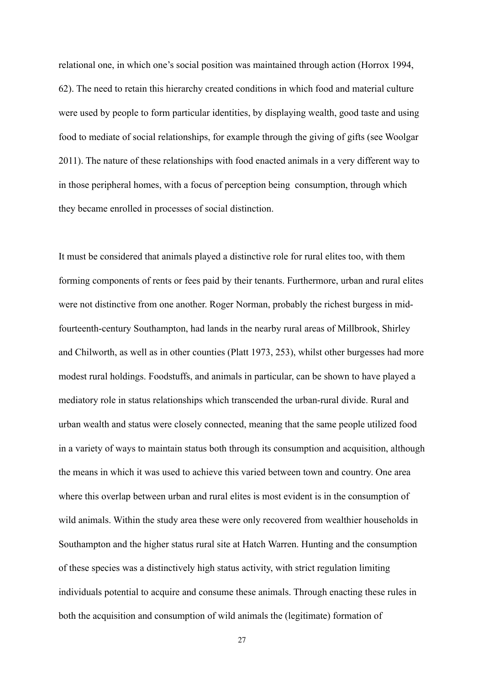relational one, in which one's social position was maintained through action (Horrox 1994, 62). The need to retain this hierarchy created conditions in which food and material culture were used by people to form particular identities, by displaying wealth, good taste and using food to mediate of social relationships, for example through the giving of gifts (see Woolgar 2011). The nature of these relationships with food enacted animals in a very different way to in those peripheral homes, with a focus of perception being consumption, through which they became enrolled in processes of social distinction.

It must be considered that animals played a distinctive role for rural elites too, with them forming components of rents or fees paid by their tenants. Furthermore, urban and rural elites were not distinctive from one another. Roger Norman, probably the richest burgess in midfourteenth-century Southampton, had lands in the nearby rural areas of Millbrook, Shirley and Chilworth, as well as in other counties (Platt 1973, 253), whilst other burgesses had more modest rural holdings. Foodstuffs, and animals in particular, can be shown to have played a mediatory role in status relationships which transcended the urban-rural divide. Rural and urban wealth and status were closely connected, meaning that the same people utilized food in a variety of ways to maintain status both through its consumption and acquisition, although the means in which it was used to achieve this varied between town and country. One area where this overlap between urban and rural elites is most evident is in the consumption of wild animals. Within the study area these were only recovered from wealthier households in Southampton and the higher status rural site at Hatch Warren. Hunting and the consumption of these species was a distinctively high status activity, with strict regulation limiting individuals potential to acquire and consume these animals. Through enacting these rules in both the acquisition and consumption of wild animals the (legitimate) formation of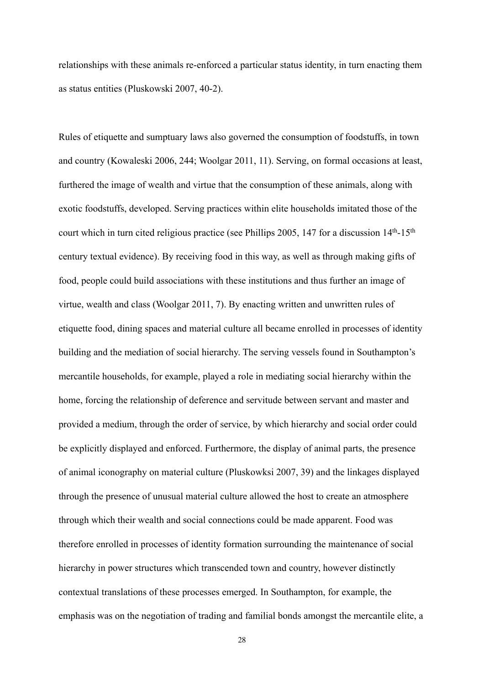relationships with these animals re-enforced a particular status identity, in turn enacting them as status entities (Pluskowski 2007, 40-2).

Rules of etiquette and sumptuary laws also governed the consumption of foodstuffs, in town and country (Kowaleski 2006, 244; Woolgar 2011, 11). Serving, on formal occasions at least, furthered the image of wealth and virtue that the consumption of these animals, along with exotic foodstuffs, developed. Serving practices within elite households imitated those of the court which in turn cited religious practice (see Phillips 2005, 147 for a discussion 14th-15th century textual evidence). By receiving food in this way, as well as through making gifts of food, people could build associations with these institutions and thus further an image of virtue, wealth and class (Woolgar 2011, 7). By enacting written and unwritten rules of etiquette food, dining spaces and material culture all became enrolled in processes of identity building and the mediation of social hierarchy. The serving vessels found in Southampton's mercantile households, for example, played a role in mediating social hierarchy within the home, forcing the relationship of deference and servitude between servant and master and provided a medium, through the order of service, by which hierarchy and social order could be explicitly displayed and enforced. Furthermore, the display of animal parts, the presence of animal iconography on material culture (Pluskowksi 2007, 39) and the linkages displayed through the presence of unusual material culture allowed the host to create an atmosphere through which their wealth and social connections could be made apparent. Food was therefore enrolled in processes of identity formation surrounding the maintenance of social hierarchy in power structures which transcended town and country, however distinctly contextual translations of these processes emerged. In Southampton, for example, the emphasis was on the negotiation of trading and familial bonds amongst the mercantile elite, a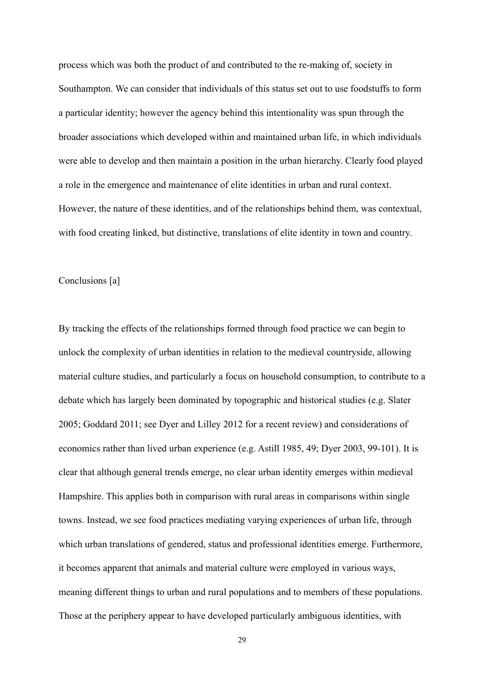process which was both the product of and contributed to the re-making of, society in Southampton. We can consider that individuals of this status set out to use foodstuffs to form a particular identity; however the agency behind this intentionality was spun through the broader associations which developed within and maintained urban life, in which individuals were able to develop and then maintain a position in the urban hierarchy. Clearly food played a role in the emergence and maintenance of elite identities in urban and rural context. However, the nature of these identities, and of the relationships behind them, was contextual, with food creating linked, but distinctive, translations of elite identity in town and country.

## Conclusions [a]

By tracking the effects of the relationships formed through food practice we can begin to unlock the complexity of urban identities in relation to the medieval countryside, allowing material culture studies, and particularly a focus on household consumption, to contribute to a debate which has largely been dominated by topographic and historical studies (e.g. Slater 2005; Goddard 2011; see Dyer and Lilley 2012 for a recent review) and considerations of economics rather than lived urban experience (e.g. Astill 1985, 49; Dyer 2003, 99-101). It is clear that although general trends emerge, no clear urban identity emerges within medieval Hampshire. This applies both in comparison with rural areas in comparisons within single towns. Instead, we see food practices mediating varying experiences of urban life, through which urban translations of gendered, status and professional identities emerge. Furthermore, it becomes apparent that animals and material culture were employed in various ways, meaning different things to urban and rural populations and to members of these populations. Those at the periphery appear to have developed particularly ambiguous identities, with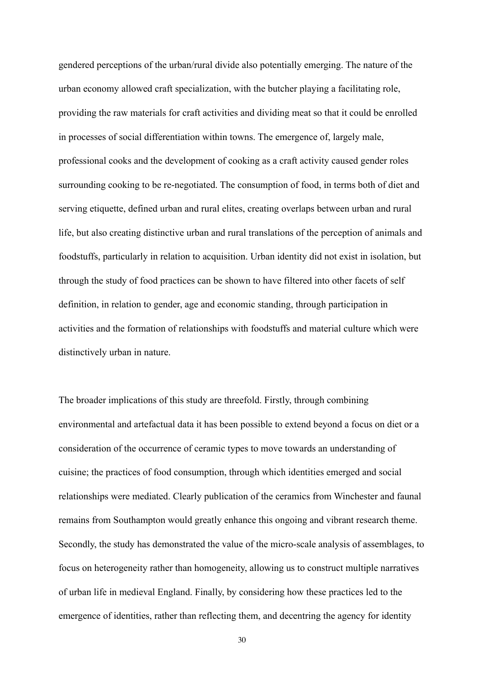gendered perceptions of the urban/rural divide also potentially emerging. The nature of the urban economy allowed craft specialization, with the butcher playing a facilitating role, providing the raw materials for craft activities and dividing meat so that it could be enrolled in processes of social differentiation within towns. The emergence of, largely male, professional cooks and the development of cooking as a craft activity caused gender roles surrounding cooking to be re-negotiated. The consumption of food, in terms both of diet and serving etiquette, defined urban and rural elites, creating overlaps between urban and rural life, but also creating distinctive urban and rural translations of the perception of animals and foodstuffs, particularly in relation to acquisition. Urban identity did not exist in isolation, but through the study of food practices can be shown to have filtered into other facets of self definition, in relation to gender, age and economic standing, through participation in activities and the formation of relationships with foodstuffs and material culture which were distinctively urban in nature.

The broader implications of this study are threefold. Firstly, through combining environmental and artefactual data it has been possible to extend beyond a focus on diet or a consideration of the occurrence of ceramic types to move towards an understanding of cuisine; the practices of food consumption, through which identities emerged and social relationships were mediated. Clearly publication of the ceramics from Winchester and faunal remains from Southampton would greatly enhance this ongoing and vibrant research theme. Secondly, the study has demonstrated the value of the micro-scale analysis of assemblages, to focus on heterogeneity rather than homogeneity, allowing us to construct multiple narratives of urban life in medieval England. Finally, by considering how these practices led to the emergence of identities, rather than reflecting them, and decentring the agency for identity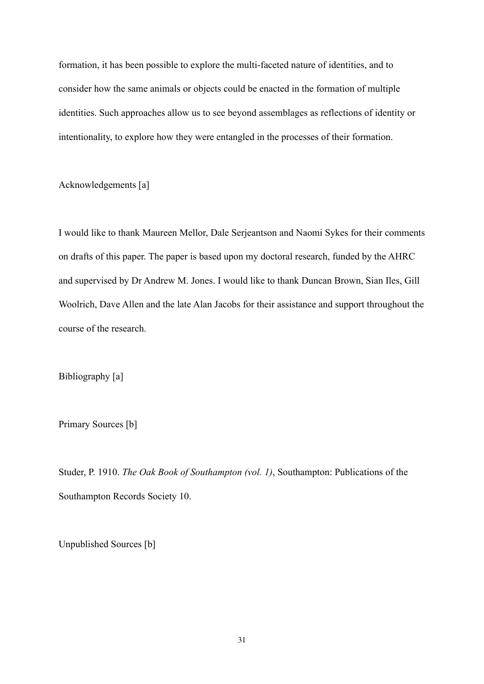formation, it has been possible to explore the multi-faceted nature of identities, and to consider how the same animals or objects could be enacted in the formation of multiple identities. Such approaches allow us to see beyond assemblages as reflections of identity or intentionality, to explore how they were entangled in the processes of their formation.

Acknowledgements [a]

I would like to thank Maureen Mellor, Dale Serjeantson and Naomi Sykes for their comments on drafts of this paper. The paper is based upon my doctoral research, funded by the AHRC and supervised by Dr Andrew M. Jones. I would like to thank Duncan Brown, Sian Iles, Gill Woolrich, Dave Allen and the late Alan Jacobs for their assistance and support throughout the course of the research.

Bibliography [a]

Primary Sources [b]

Studer, P. 1910. *The Oak Book of Southampton (vol. 1)*, Southampton: Publications of the Southampton Records Society 10.

Unpublished Sources [b]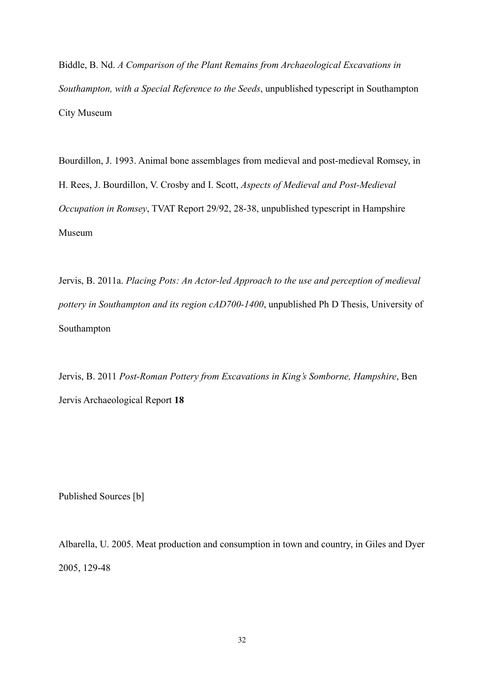Biddle, B. Nd. *A Comparison of the Plant Remains from Archaeological Excavations in Southampton, with a Special Reference to the Seeds*, unpublished typescript in Southampton City Museum

Bourdillon, J. 1993. Animal bone assemblages from medieval and post-medieval Romsey, in H. Rees, J. Bourdillon, V. Crosby and I. Scott, *Aspects of Medieval and Post-Medieval Occupation in Romsey*, TVAT Report 29/92, 28-38, unpublished typescript in Hampshire Museum

Jervis, B. 2011a. *Placing Pots: An Actor-led Approach to the use and perception of medieval pottery in Southampton and its region cAD700-1400*, unpublished Ph D Thesis, University of Southampton

Jervis, B. 2011 *Post-Roman Pottery from Excavations in King's Somborne, Hampshire*, Ben Jervis Archaeological Report **18**

Published Sources [b]

Albarella, U. 2005. Meat production and consumption in town and country, in Giles and Dyer 2005, 129-48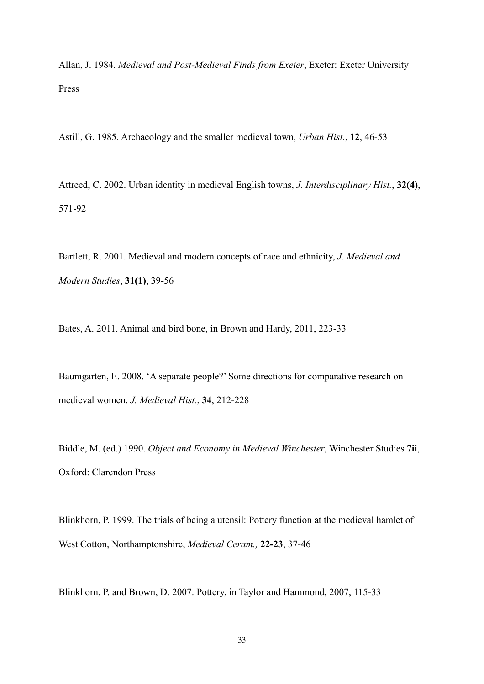Allan, J. 1984. *Medieval and Post-Medieval Finds from Exeter*, Exeter: Exeter University Press

Astill, G. 1985. Archaeology and the smaller medieval town, *Urban Hist*., **12**, 46-53

Attreed, C. 2002. Urban identity in medieval English towns, *J. Interdisciplinary Hist.*, **32(4)**, 571-92

Bartlett, R. 2001. Medieval and modern concepts of race and ethnicity, *J. Medieval and Modern Studies*, **31(1)**, 39-56

Bates, A. 2011. Animal and bird bone, in Brown and Hardy, 2011, 223-33

Baumgarten, E. 2008. 'A separate people?' Some directions for comparative research on medieval women, *J. Medieval Hist.*, **34**, 212-228

Biddle, M. (ed.) 1990. *Object and Economy in Medieval Winchester*, Winchester Studies **7ii**, Oxford: Clarendon Press

Blinkhorn, P. 1999. The trials of being a utensil: Pottery function at the medieval hamlet of West Cotton, Northamptonshire, *Medieval Ceram.,* **22-23**, 37-46

Blinkhorn, P. and Brown, D. 2007. Pottery, in Taylor and Hammond, 2007, 115-33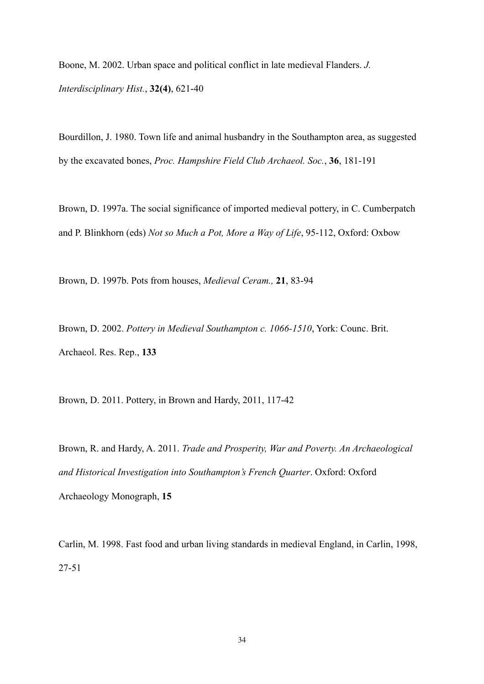Boone, M. 2002. Urban space and political conflict in late medieval Flanders. *J. Interdisciplinary Hist.*, **32(4)**, 621-40

Bourdillon, J. 1980. Town life and animal husbandry in the Southampton area, as suggested by the excavated bones, *Proc. Hampshire Field Club Archaeol. Soc.*, **36**, 181-191

Brown, D. 1997a. The social significance of imported medieval pottery, in C. Cumberpatch and P. Blinkhorn (eds) *Not so Much a Pot, More a Way of Life*, 95-112, Oxford: Oxbow

Brown, D. 1997b. Pots from houses, *Medieval Ceram.,* **21**, 83-94

Brown, D. 2002. *Pottery in Medieval Southampton c. 1066-1510*, York: Counc. Brit. Archaeol. Res. Rep., **133** 

Brown, D. 2011. Pottery, in Brown and Hardy, 2011, 117-42

Brown, R. and Hardy, A. 2011. *Trade and Prosperity, War and Poverty. An Archaeological and Historical Investigation into Southampton's French Quarter*. Oxford: Oxford Archaeology Monograph, **15** 

Carlin, M. 1998. Fast food and urban living standards in medieval England, in Carlin, 1998, 27-51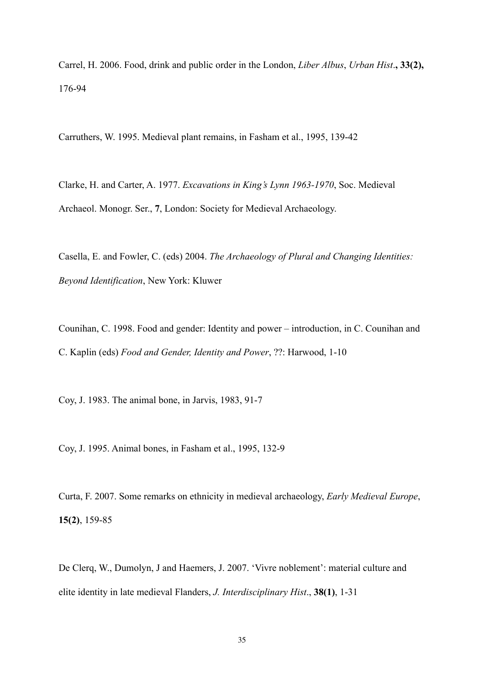Carrel, H. 2006. Food, drink and public order in the London, *Liber Albus*, *Urban Hist*.**, 33(2),** 176-94

Carruthers, W. 1995. Medieval plant remains, in Fasham et al., 1995, 139-42

Clarke, H. and Carter, A. 1977. *Excavations in King's Lynn 1963-1970*, Soc. Medieval Archaeol. Monogr. Ser., **7**, London: Society for Medieval Archaeology.

Casella, E. and Fowler, C. (eds) 2004. *The Archaeology of Plural and Changing Identities: Beyond Identification*, New York: Kluwer

Counihan, C. 1998. Food and gender: Identity and power – introduction, in C. Counihan and C. Kaplin (eds) *Food and Gender, Identity and Power*, ??: Harwood, 1-10

Coy, J. 1983. The animal bone, in Jarvis, 1983, 91-7

Coy, J. 1995. Animal bones, in Fasham et al., 1995, 132-9

Curta, F. 2007. Some remarks on ethnicity in medieval archaeology, *Early Medieval Europe*, **15(2)**, 159-85

De Clerq, W., Dumolyn, J and Haemers, J. 2007. 'Vivre noblement': material culture and elite identity in late medieval Flanders, *J. Interdisciplinary Hist*., **38(1)**, 1-31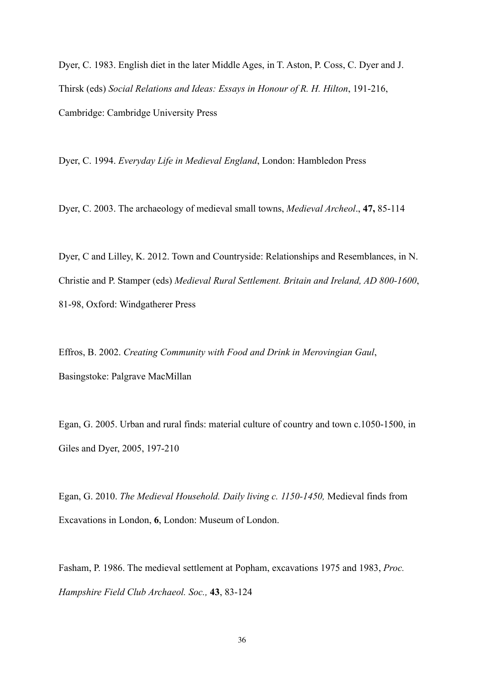Dyer, C. 1983. English diet in the later Middle Ages, in T. Aston, P. Coss, C. Dyer and J. Thirsk (eds) *Social Relations and Ideas: Essays in Honour of R. H. Hilton*, 191-216, Cambridge: Cambridge University Press

Dyer, C. 1994. *Everyday Life in Medieval England*, London: Hambledon Press

Dyer, C. 2003. The archaeology of medieval small towns, *Medieval Archeol*., **47,** 85-114

Dyer, C and Lilley, K. 2012. Town and Countryside: Relationships and Resemblances, in N. Christie and P. Stamper (eds) *Medieval Rural Settlement. Britain and Ireland, AD 800-1600*, 81-98, Oxford: Windgatherer Press

Effros, B. 2002. *Creating Community with Food and Drink in Merovingian Gaul*, Basingstoke: Palgrave MacMillan

Egan, G. 2005. Urban and rural finds: material culture of country and town c.1050-1500, in Giles and Dyer, 2005, 197-210

Egan, G. 2010. *The Medieval Household. Daily living c. 1150-1450,* Medieval finds from Excavations in London, **6**, London: Museum of London.

Fasham, P. 1986. The medieval settlement at Popham, excavations 1975 and 1983, *Proc. Hampshire Field Club Archaeol. Soc.,* **43**, 83-124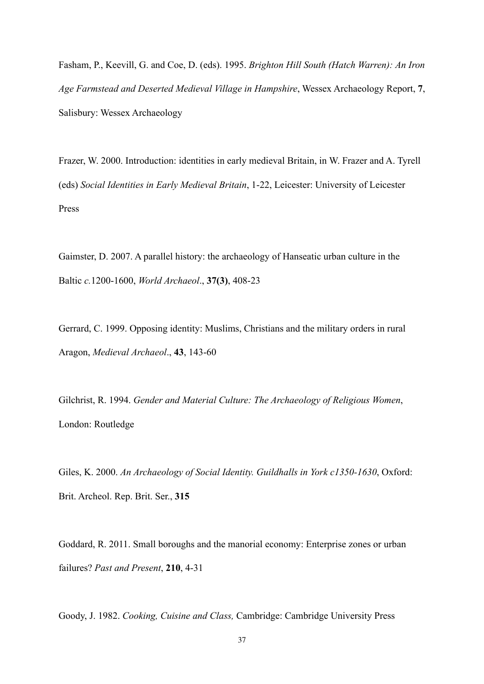Fasham, P., Keevill, G. and Coe, D. (eds). 1995. *Brighton Hill South (Hatch Warren): An Iron Age Farmstead and Deserted Medieval Village in Hampshire*, Wessex Archaeology Report, **7**, Salisbury: Wessex Archaeology

Frazer, W. 2000. Introduction: identities in early medieval Britain, in W. Frazer and A. Tyrell (eds) *Social Identities in Early Medieval Britain*, 1-22, Leicester: University of Leicester Press

Gaimster, D. 2007. A parallel history: the archaeology of Hanseatic urban culture in the Baltic *c.*1200-1600, *World Archaeol*., **37(3)**, 408-23

Gerrard, C. 1999. Opposing identity: Muslims, Christians and the military orders in rural Aragon, *Medieval Archaeol*., **43**, 143-60

Gilchrist, R. 1994. *Gender and Material Culture: The Archaeology of Religious Women*, London: Routledge

Giles, K. 2000. *An Archaeology of Social Identity. Guildhalls in York c1350-1630*, Oxford: Brit. Archeol. Rep. Brit. Ser., **315**

Goddard, R. 2011. Small boroughs and the manorial economy: Enterprise zones or urban failures? *Past and Present*, **210**, 4-31

Goody, J. 1982. *Cooking, Cuisine and Class,* Cambridge: Cambridge University Press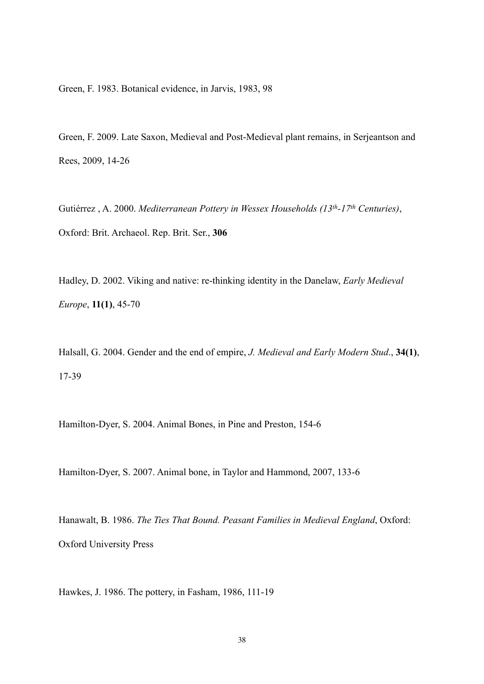Green, F. 1983. Botanical evidence, in Jarvis, 1983, 98

Green, F. 2009. Late Saxon, Medieval and Post-Medieval plant remains, in Serjeantson and Rees, 2009, 14-26

Gutiérrez , A. 2000. *Mediterranean Pottery in Wessex Households (13th-17th Centuries)*, Oxford: Brit. Archaeol. Rep. Brit. Ser., **306** 

Hadley, D. 2002. Viking and native: re-thinking identity in the Danelaw, *Early Medieval Europe*, **11(1)**, 45-70

Halsall, G. 2004. Gender and the end of empire, *J. Medieval and Early Modern Stud*., **34(1)**, 17-39

Hamilton-Dyer, S. 2004. Animal Bones, in Pine and Preston, 154-6

Hamilton-Dyer, S. 2007. Animal bone, in Taylor and Hammond, 2007, 133-6

Hanawalt, B. 1986. *The Ties That Bound. Peasant Families in Medieval England*, Oxford: Oxford University Press

Hawkes, J. 1986. The pottery, in Fasham, 1986, 111-19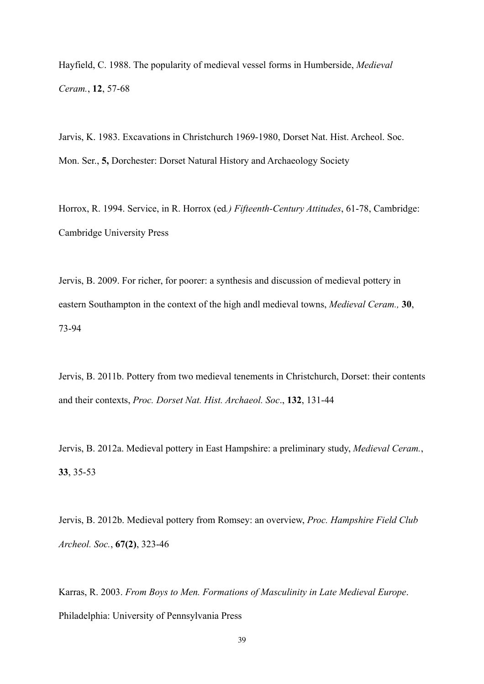Hayfield, C. 1988. The popularity of medieval vessel forms in Humberside, *Medieval Ceram.*, **12**, 57-68

Jarvis, K. 1983. Excavations in Christchurch 1969-1980, Dorset Nat. Hist. Archeol. Soc. Mon. Ser., **5,** Dorchester: Dorset Natural History and Archaeology Society

Horrox, R. 1994. Service, in R. Horrox (ed*.) Fifteenth-Century Attitudes*, 61-78, Cambridge: Cambridge University Press

Jervis, B. 2009. For richer, for poorer: a synthesis and discussion of medieval pottery in eastern Southampton in the context of the high andl medieval towns, *Medieval Ceram.,* **30**, 73-94

Jervis, B. 2011b. Pottery from two medieval tenements in Christchurch, Dorset: their contents and their contexts, *Proc. Dorset Nat. Hist. Archaeol. Soc*., **132**, 131-44

Jervis, B. 2012a. Medieval pottery in East Hampshire: a preliminary study, *Medieval Ceram.*, **33**, 35-53

Jervis, B. 2012b. Medieval pottery from Romsey: an overview, *Proc. Hampshire Field Club Archeol. Soc.*, **67(2)**, 323-46

Karras, R. 2003. *From Boys to Men. Formations of Masculinity in Late Medieval Europe*. Philadelphia: University of Pennsylvania Press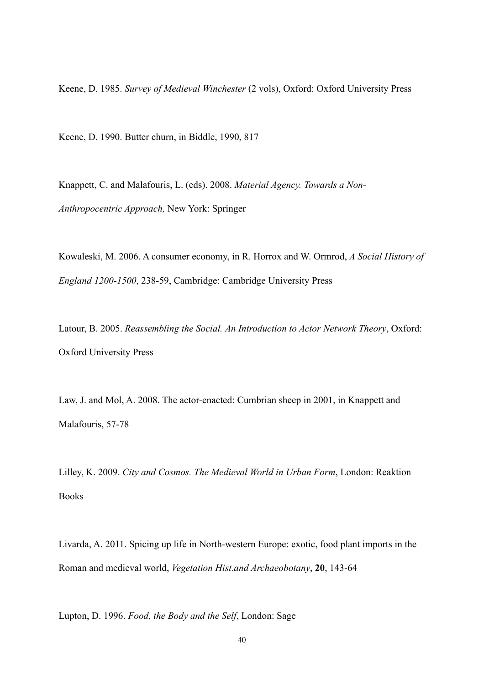Keene, D. 1985. *Survey of Medieval Winchester* (2 vols), Oxford: Oxford University Press

Keene, D. 1990. Butter churn, in Biddle, 1990, 817

Knappett, C. and Malafouris, L. (eds). 2008. *Material Agency. Towards a Non-Anthropocentric Approach,* New York: Springer

Kowaleski, M. 2006. A consumer economy, in R. Horrox and W. Ormrod, *A Social History of England 1200-1500*, 238-59, Cambridge: Cambridge University Press

Latour, B. 2005. *Reassembling the Social. An Introduction to Actor Network Theory*, Oxford: Oxford University Press

Law, J. and Mol, A. 2008. The actor-enacted: Cumbrian sheep in 2001, in Knappett and Malafouris, 57-78

Lilley, K. 2009. *City and Cosmos. The Medieval World in Urban Form*, London: Reaktion Books

Livarda, A. 2011. Spicing up life in North-western Europe: exotic, food plant imports in the Roman and medieval world, *Vegetation Hist.and Archaeobotany*, **20**, 143-64

Lupton, D. 1996. *Food, the Body and the Self*, London: Sage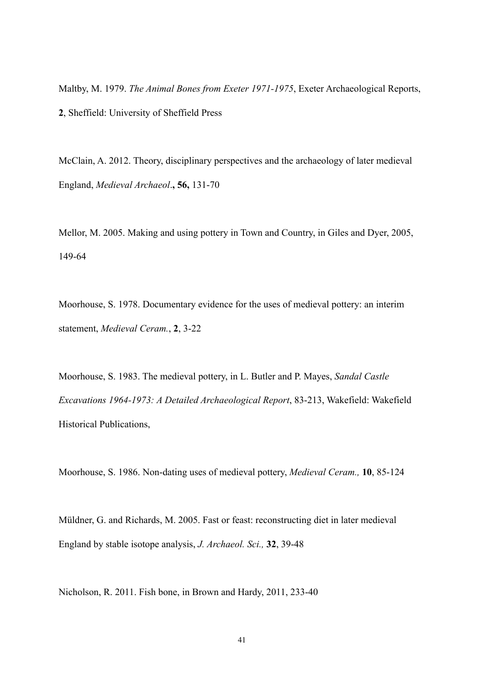Maltby, M. 1979. *The Animal Bones from Exeter 1971-1975*, Exeter Archaeological Reports, **2**, Sheffield: University of Sheffield Press

McClain, A. 2012. Theory, disciplinary perspectives and the archaeology of later medieval England, *Medieval Archaeol*.**, 56,** 131-70

Mellor, M. 2005. Making and using pottery in Town and Country, in Giles and Dyer, 2005, 149-64

Moorhouse, S. 1978. Documentary evidence for the uses of medieval pottery: an interim statement, *Medieval Ceram.*, **2**, 3-22

Moorhouse, S. 1983. The medieval pottery, in L. Butler and P. Mayes, *Sandal Castle Excavations 1964-1973: A Detailed Archaeological Report*, 83-213, Wakefield: Wakefield Historical Publications,

Moorhouse, S. 1986. Non-dating uses of medieval pottery, *Medieval Ceram.,* **10**, 85-124

Müldner, G. and Richards, M. 2005. Fast or feast: reconstructing diet in later medieval England by stable isotope analysis, *J. Archaeol. Sci.,* **32**, 39-48

Nicholson, R. 2011. Fish bone, in Brown and Hardy, 2011, 233-40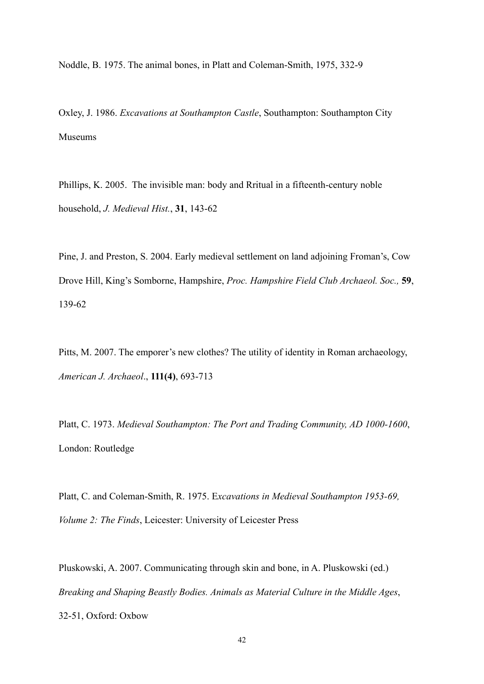Noddle, B. 1975. The animal bones, in Platt and Coleman-Smith, 1975, 332-9

Oxley, J. 1986. *Excavations at Southampton Castle*, Southampton: Southampton City Museums

Phillips, K. 2005. The invisible man: body and Rritual in a fifteenth-century noble household, *J. Medieval Hist.*, **31**, 143-62

Pine, J. and Preston, S. 2004. Early medieval settlement on land adjoining Froman's, Cow Drove Hill, King's Somborne, Hampshire, *Proc. Hampshire Field Club Archaeol. Soc.,* **59**, 139-62

Pitts, M. 2007. The emporer's new clothes? The utility of identity in Roman archaeology, *American J. Archaeol*., **111(4)**, 693-713

Platt, C. 1973. *Medieval Southampton: The Port and Trading Community, AD 1000-1600*, London: Routledge

Platt, C. and Coleman-Smith, R. 1975. E*xcavations in Medieval Southampton 1953-69, Volume 2: The Finds*, Leicester: University of Leicester Press

Pluskowski, A. 2007. Communicating through skin and bone, in A. Pluskowski (ed.) *Breaking and Shaping Beastly Bodies. Animals as Material Culture in the Middle Ages*, 32-51, Oxford: Oxbow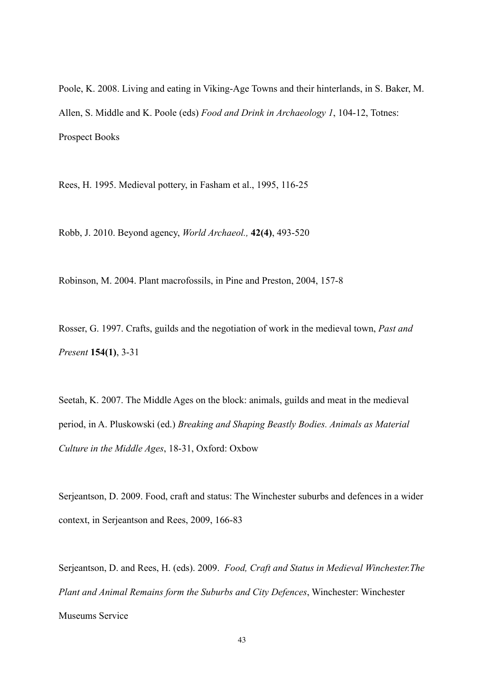Poole, K. 2008. Living and eating in Viking-Age Towns and their hinterlands, in S. Baker, M. Allen, S. Middle and K. Poole (eds) *Food and Drink in Archaeology 1*, 104-12, Totnes: Prospect Books

Rees, H. 1995. Medieval pottery, in Fasham et al., 1995, 116-25

Robb, J. 2010. Beyond agency, *World Archaeol.,* **42(4)**, 493-520

Robinson, M. 2004. Plant macrofossils, in Pine and Preston, 2004, 157-8

Rosser, G. 1997. Crafts, guilds and the negotiation of work in the medieval town, *Past and Present* **154(1)**, 3-31

Seetah, K. 2007. The Middle Ages on the block: animals, guilds and meat in the medieval period, in A. Pluskowski (ed.) *Breaking and Shaping Beastly Bodies. Animals as Material Culture in the Middle Ages*, 18-31, Oxford: Oxbow

Serjeantson, D. 2009. Food, craft and status: The Winchester suburbs and defences in a wider context, in Serjeantson and Rees, 2009, 166-83

Serjeantson, D. and Rees, H. (eds). 2009. *Food, Craft and Status in Medieval Winchester.The Plant and Animal Remains form the Suburbs and City Defences*, Winchester: Winchester Museums Service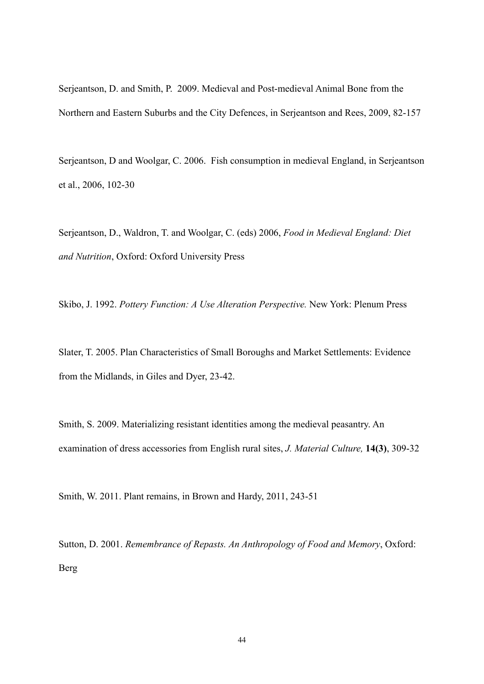Serjeantson, D. and Smith, P. 2009. Medieval and Post-medieval Animal Bone from the Northern and Eastern Suburbs and the City Defences, in Serjeantson and Rees, 2009, 82-157

Serjeantson, D and Woolgar, C. 2006. Fish consumption in medieval England, in Serjeantson et al., 2006, 102-30

Serjeantson, D., Waldron, T. and Woolgar, C. (eds) 2006, *Food in Medieval England: Diet and Nutrition*, Oxford: Oxford University Press

Skibo, J. 1992. *Pottery Function: A Use Alteration Perspective.* New York: Plenum Press

Slater, T. 2005. Plan Characteristics of Small Boroughs and Market Settlements: Evidence from the Midlands, in Giles and Dyer, 23-42.

Smith, S. 2009. Materializing resistant identities among the medieval peasantry. An examination of dress accessories from English rural sites, *J. Material Culture,* **14(3)**, 309-32

Smith, W. 2011. Plant remains, in Brown and Hardy, 2011, 243-51

Sutton, D. 2001. *Remembrance of Repasts. An Anthropology of Food and Memory*, Oxford: Berg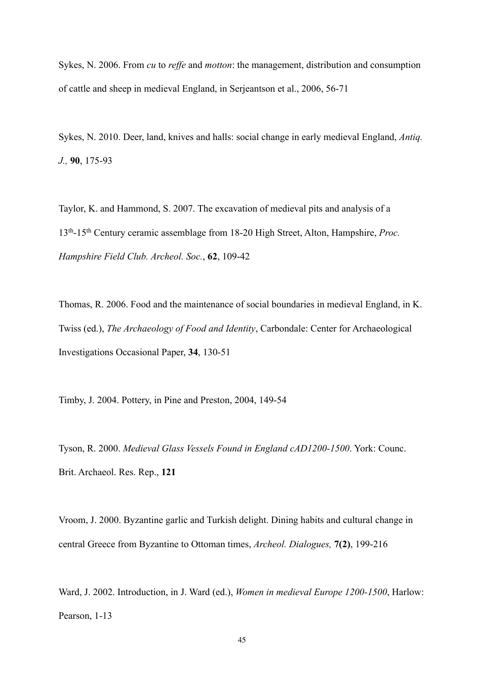Sykes, N. 2006. From *cu* to *reffe* and *motton*: the management, distribution and consumption of cattle and sheep in medieval England, in Serjeantson et al., 2006, 56-71

Sykes, N. 2010. Deer, land, knives and halls: social change in early medieval England, *Antiq. J.,* **90**, 175-93

Taylor, K. and Hammond, S. 2007. The excavation of medieval pits and analysis of a 13th-15th Century ceramic assemblage from 18-20 High Street, Alton, Hampshire, *Proc. Hampshire Field Club. Archeol. Soc.*, **62**, 109-42

Thomas, R. 2006. Food and the maintenance of social boundaries in medieval England, in K. Twiss (ed.), *The Archaeology of Food and Identity*, Carbondale: Center for Archaeological Investigations Occasional Paper, **34**, 130-51

Timby, J. 2004. Pottery, in Pine and Preston, 2004, 149-54

Tyson, R. 2000. *Medieval Glass Vessels Found in England cAD1200-1500*. York: Counc. Brit. Archaeol. Res. Rep., **121** 

Vroom, J. 2000. Byzantine garlic and Turkish delight. Dining habits and cultural change in central Greece from Byzantine to Ottoman times, *Archeol. Dialogues,* **7(2)**, 199-216

Ward, J. 2002. Introduction, in J. Ward (ed.), *Women in medieval Europe 1200-1500*, Harlow: Pearson, 1-13